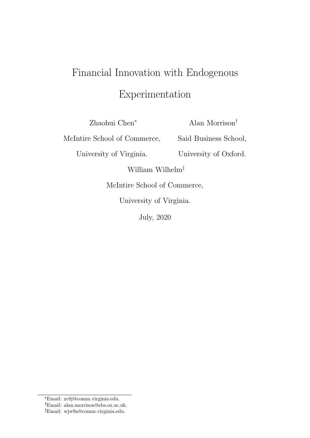# Financial Innovation with Endogenous Experimentation

Zhaohui Chen<sup>∗</sup>

Alan Morrison†

McIntire School of Commerce,

University of Virginia.

Said Business School,

University of Oxford.

William Wilhelm‡

McIntire School of Commerce,

University of Virginia.

July, 2020

<sup>\*</sup>Email: zc8j@comm.virginia.edu.

Email: alan.morrison@sbs.ox.ac.uk.

Email: wjw9a@comm.virginia.edu.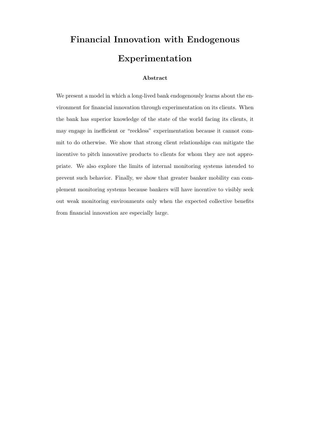# Financial Innovation with Endogenous Experimentation

# Abstract

We present a model in which a long-lived bank endogenously learns about the environment for financial innovation through experimentation on its clients. When the bank has superior knowledge of the state of the world facing its clients, it may engage in inefficient or "reckless" experimentation because it cannot commit to do otherwise. We show that strong client relationships can mitigate the incentive to pitch innovative products to clients for whom they are not appropriate. We also explore the limits of internal monitoring systems intended to prevent such behavior. Finally, we show that greater banker mobility can complement monitoring systems because bankers will have incentive to visibly seek out weak monitoring environments only when the expected collective benefits from financial innovation are especially large.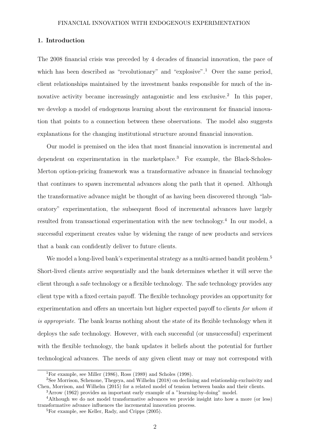#### 1. Introduction

The 2008 financial crisis was preceded by 4 decades of financial innovation, the pace of which has been described as "revolutionary" and "explosive".<sup>1</sup> Over the same period, client relationships maintained by the investment banks responsible for much of the innovative activity became increasingly antagonistic and less exclusive.<sup>2</sup> In this paper, we develop a model of endogenous learning about the environment for financial innovation that points to a connection between these observations. The model also suggests explanations for the changing institutional structure around financial innovation.

Our model is premised on the idea that most financial innovation is incremental and dependent on experimentation in the marketplace.<sup>3</sup> For example, the Black-Scholes-Merton option-pricing framework was a transformative advance in financial technology that continues to spawn incremental advances along the path that it opened. Although the transformative advance might be thought of as having been discovered through "laboratory" experimentation, the subsequent flood of incremental advances have largely resulted from transactional experimentation with the new technology.<sup>4</sup> In our model, a successful experiment creates value by widening the range of new products and services that a bank can confidently deliver to future clients.

We model a long-lived bank's experimental strategy as a multi-armed bandit problem.<sup>5</sup> Short-lived clients arrive sequentially and the bank determines whether it will serve the client through a safe technology or a flexible technology. The safe technology provides any client type with a fixed certain payoff. The flexible technology provides an opportunity for experimentation and offers an uncertain but higher expected payoff to clients for whom it is appropriate. The bank learns nothing about the state of its flexible technology when it deploys the safe technology. However, with each successful (or unsuccessful) experiment with the flexible technology, the bank updates it beliefs about the potential for further technological advances. The needs of any given client may or may not correspond with

<sup>&</sup>lt;sup>1</sup>For example, see Miller (1986), Ross (1989) and Scholes (1998).

<sup>2</sup>See Morrison, Schenone, Thegeya, and Wilhelm (2018) on declining and relationship exclusivity and Chen, Morrison, and Wilhelm (2015) for a related model of tension between banks and their clients.

<sup>3</sup>Arrow (1962) provides an important early example of a "learning-by-doing" model.

<sup>4</sup>Although we do not model transformative advances we provide insight into how a more (or less) transformative advance influences the incremental innovation process.

<sup>5</sup>For example, see Keller, Rady, and Cripps (2005).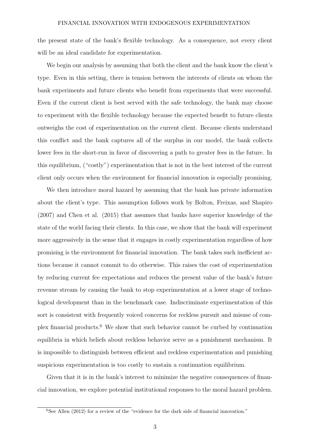the present state of the bank's flexible technology. As a consequence, not every client will be an ideal candidate for experimentation.

We begin our analysis by assuming that both the client and the bank know the client's type. Even in this setting, there is tension between the interests of clients on whom the bank experiments and future clients who benefit from experiments that were successful. Even if the current client is best served with the safe technology, the bank may choose to experiment with the flexible technology because the expected benefit to future clients outweighs the cost of experimentation on the current client. Because clients understand this conflict and the bank captures all of the surplus in our model, the bank collects lower fees in the short-run in favor of discovering a path to greater fees in the future. In this equilibrium, ("costly") experimentation that is not in the best interest of the current client only occurs when the environment for financial innovation is especially promising.

We then introduce moral hazard by assuming that the bank has private information about the client's type. This assumption follows work by Bolton, Freixas, and Shapiro (2007) and Chen et al. (2015) that assumes that banks have superior knowledge of the state of the world facing their clients. In this case, we show that the bank will experiment more aggressively in the sense that it engages in costly experimentation regardless of how promising is the environment for financial innovation. The bank takes such inefficient actions because it cannot commit to do otherwise. This raises the cost of experimentation by reducing current fee expectations and reduces the present value of the bank's future revenue stream by causing the bank to stop experimentation at a lower stage of technological development than in the benchmark case. Indiscriminate experimentation of this sort is consistent with frequently voiced concerns for reckless pursuit and misuse of complex financial products.<sup>6</sup> We show that such behavior cannot be curbed by continuation equilibria in which beliefs about reckless behavior serve as a punishment mechanism. It is impossible to distinguish between efficient and reckless experimentation and punishing suspicious experimentation is too costly to sustain a continuation equilibrium.

Given that it is in the bank's interest to minimize the negative consequences of financial innovation, we explore potential institutional responses to the moral hazard problem.

<sup>&</sup>lt;sup>6</sup>See Allen (2012) for a review of the "evidence for the dark side of financial innovation."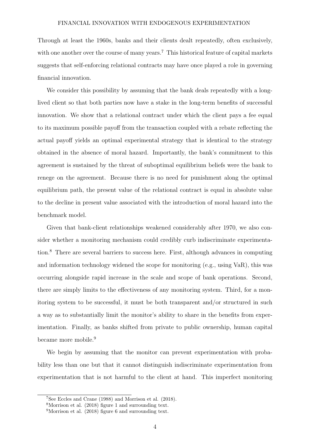Through at least the 1960s, banks and their clients dealt repeatedly, often exclusively, with one another over the course of many years.<sup>7</sup> This historical feature of capital markets suggests that self-enforcing relational contracts may have once played a role in governing financial innovation.

We consider this possibility by assuming that the bank deals repeatedly with a longlived client so that both parties now have a stake in the long-term benefits of successful innovation. We show that a relational contract under which the client pays a fee equal to its maximum possible payoff from the transaction coupled with a rebate reflecting the actual payoff yields an optimal experimental strategy that is identical to the strategy obtained in the absence of moral hazard. Importantly, the bank's commitment to this agreement is sustained by the threat of suboptimal equilibrium beliefs were the bank to renege on the agreement. Because there is no need for punishment along the optimal equilibrium path, the present value of the relational contract is equal in absolute value to the decline in present value associated with the introduction of moral hazard into the benchmark model.

Given that bank-client relationships weakened considerably after 1970, we also consider whether a monitoring mechanism could credibly curb indiscriminate experimentation.<sup>8</sup> There are several barriers to success here. First, although advances in computing and information technology widened the scope for monitoring (e.g., using VaR), this was occurring alongside rapid increase in the scale and scope of bank operations. Second, there are simply limits to the effectiveness of any monitoring system. Third, for a monitoring system to be successful, it must be both transparent and/or structured in such a way as to substantially limit the monitor's ability to share in the benefits from experimentation. Finally, as banks shifted from private to public ownership, human capital became more mobile.<sup>9</sup>

We begin by assuming that the monitor can prevent experimentation with probability less than one but that it cannot distinguish indiscriminate experimentation from experimentation that is not harmful to the client at hand. This imperfect monitoring

<sup>7</sup>See Eccles and Crane (1988) and Morrison et al. (2018).

<sup>8</sup>Morrison et al. (2018) figure 1 and surrounding text.

<sup>9</sup>Morrison et al. (2018) figure 6 and surrounding text.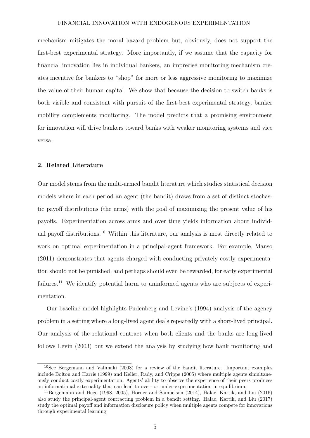mechanism mitigates the moral hazard problem but, obviously, does not support the first-best experimental strategy. More importantly, if we assume that the capacity for financial innovation lies in individual bankers, an imprecise monitoring mechanism creates incentive for bankers to "shop" for more or less aggressive monitoring to maximize the value of their human capital. We show that because the decision to switch banks is both visible and consistent with pursuit of the first-best experimental strategy, banker mobility complements monitoring. The model predicts that a promising environment for innovation will drive bankers toward banks with weaker monitoring systems and vice versa.

# 2. Related Literature

Our model stems from the multi-armed bandit literature which studies statistical decision models where in each period an agent (the bandit) draws from a set of distinct stochastic payoff distributions (the arms) with the goal of maximizing the present value of his payoffs. Experimentation across arms and over time yields information about individual payoff distributions.<sup>10</sup> Within this literature, our analysis is most directly related to work on optimal experimentation in a principal-agent framework. For example, Manso (2011) demonstrates that agents charged with conducting privately costly experimentation should not be punished, and perhaps should even be rewarded, for early experimental failures.<sup>11</sup> We identify potential harm to uninformed agents who are subjects of experimentation.

Our baseline model highlights Fudenberg and Levine's (1994) analysis of the agency problem in a setting where a long-lived agent deals repeatedly with a short-lived principal. Our analysis of the relational contract when both clients and the banks are long-lived follows Levin (2003) but we extend the analysis by studying how bank monitoring and

<sup>10</sup>See Bergemann and Valimaki (2008) for a review of the bandit literature. Important examples include Bolton and Harris (1999) and Keller, Rady, and Cripps (2005) where multiple agents simultaneously conduct costly experimentation. Agents' ability to observe the experience of their peers produces an informational externality that can lead to over- or under-experimentation in equilibrium.

<sup>&</sup>lt;sup>11</sup>Bergemann and Hege (1998, 2005), Horner and Samuelson (2014), Halac, Kartik, and Liu (2016) also study the principal-agent contracting problem in a bandit setting. Halac, Kartik, and Liu (2017) study the optimal payoff and information disclosure policy when multiple agents compete for innovations through experimental learning.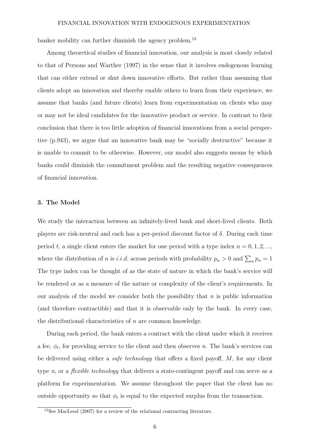banker mobility can further diminish the agency problem.<sup>12</sup>

Among theoretical studies of financial innovation, our analysis is most closely related to that of Persons and Warther (1997) in the sense that it involves endogenous learning that can either extend or shut down innovative efforts. But rather than assuming that clients adopt an innovation and thereby enable others to learn from their experience, we assume that banks (and future clients) learn from experimentation on clients who may or may not be ideal candidates for the innovative product or service. In contrast to their conclusion that there is too little adoption of financial innovations from a social perspective (p.943), we argue that an innovative bank may be "socially destructive" because it is unable to commit to be otherwise. However, our model also suggests means by which banks could diminish the commitment problem and the resulting negative consequences of financial innovation.

#### 3. The Model

We study the interaction between an infinitely-lived bank and short-lived clients. Both players are risk-neutral and each has a per-period discount factor of  $\delta$ . During each time period t, a single client enters the market for one period with a type index  $n = 0, 1, 2, \dots$ , where the distribution of *n* is *i.i.d.* across periods with probability  $p_n > 0$  and  $\sum_n p_n = 1$ The type index can be thought of as the state of nature in which the bank's service will be rendered or as a measure of the nature or complexity of the client's requirements. In our analysis of the model we consider both the possibility that  $n$  is public information (and therefore contractible) and that it is observable only by the bank. In every case, the distributional characteristics of  $n$  are common knowledge.

During each period, the bank enters a contract with the client under which it receives a fee,  $\phi_t$ , for providing service to the client and then observes n. The bank's services can be delivered using either a *safe technology* that offers a fixed payoff,  $M$ , for any client type *n*, or a *flexible technology* that delivers a state-contingent payoff and can serve as a platform for experimentation. We assume throughout the paper that the client has no outside opportunity so that  $\phi_t$  is equal to the expected surplus from the transaction.

<sup>12</sup>See MacLeod (2007) for a review of the relational contracting literature.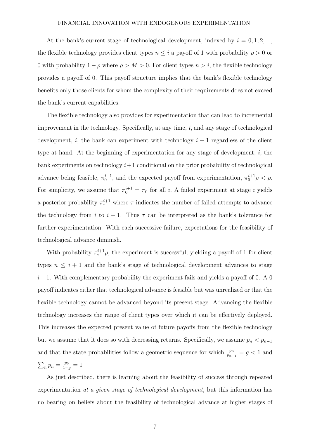At the bank's current stage of technological development, indexed by  $i = 0, 1, 2, ...,$ the flexible technology provides client types  $n \leq i$  a payoff of 1 with probability  $\rho > 0$  or 0 with probability  $1 - \rho$  where  $\rho > M > 0$ . For client types  $n > i$ , the flexible technology provides a payoff of 0. This payoff structure implies that the bank's flexible technology benefits only those clients for whom the complexity of their requirements does not exceed the bank's current capabilities.

The flexible technology also provides for experimentation that can lead to incremental improvement in the technology. Specifically, at any time, t, and any stage of technological development, i, the bank can experiment with technology  $i + 1$  regardless of the client type at hand. At the beginning of experimentation for any stage of development,  $i$ , the bank experiments on technology  $i+1$  conditional on the prior probability of technological advance being feasible,  $\pi_0^{i+1}$ , and the expected payoff from experimentation,  $\pi_0^{i+1}\rho < \rho$ . For simplicity, we assume that  $\pi_0^{i+1} = \pi_0$  for all i. A failed experiment at stage i yields a posterior probability  $\pi^{i+1}_{\tau}$  where  $\tau$  indicates the number of failed attempts to advance the technology from i to  $i + 1$ . Thus  $\tau$  can be interpreted as the bank's tolerance for further experimentation. With each successive failure, expectations for the feasibility of technological advance diminish.

With probability  $\pi^{i+1}_{\tau} \rho$ , the experiment is successful, yielding a payoff of 1 for client types  $n \leq i + 1$  and the bank's stage of technological development advances to stage  $i+1$ . With complementary probability the experiment fails and yields a payoff of 0. A 0 payoff indicates either that technological advance is feasible but was unrealized or that the flexible technology cannot be advanced beyond its present stage. Advancing the flexible technology increases the range of client types over which it can be effectively deployed. This increases the expected present value of future payoffs from the flexible technology but we assume that it does so with decreasing returns. Specifically, we assume  $p_n < p_{n-1}$ and that the state probabilities follow a geometric sequence for which  $\frac{p_n}{p_{n-1}} = g < 1$  and  $\sum_{n} p_{n} = \frac{p_{0}}{1-p_{0}}$  $\frac{p_0}{1-g} = 1$ 

As just described, there is learning about the feasibility of success through repeated experimentation at a given stage of technological development, but this information has no bearing on beliefs about the feasibility of technological advance at higher stages of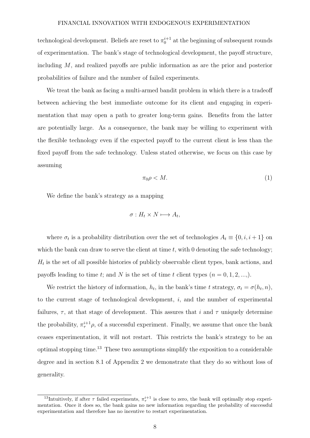technological development. Beliefs are reset to  $\pi_0^{i+1}$  at the beginning of subsequent rounds of experimentation. The bank's stage of technological development, the payoff structure, including M, and realized payoffs are public information as are the prior and posterior probabilities of failure and the number of failed experiments.

We treat the bank as facing a multi-armed bandit problem in which there is a tradeoff between achieving the best immediate outcome for its client and engaging in experimentation that may open a path to greater long-term gains. Benefits from the latter are potentially large. As a consequence, the bank may be willing to experiment with the flexible technology even if the expected payoff to the current client is less than the fixed payoff from the safe technology. Unless stated otherwise, we focus on this case by assuming

$$
\pi_0 \rho < M. \tag{1}
$$

We define the bank's strategy as a mapping

$$
\sigma: H_t \times N \longmapsto A_t,
$$

where  $\sigma_t$  is a probability distribution over the set of technologies  $A_t \equiv \{0, i, i+1\}$  on which the bank can draw to serve the client at time  $t$ , with 0 denoting the safe technology;  $H_t$  is the set of all possible histories of publicly observable client types, bank actions, and payoffs leading to time t; and N is the set of time t client types  $(n = 0, 1, 2, \ldots)$ .

We restrict the history of information,  $h_t$ , in the bank's time t strategy,  $\sigma_t = \sigma(h_t, n)$ , to the current stage of technological development,  $i$ , and the number of experimental failures,  $\tau$ , at that stage of development. This assures that i and  $\tau$  uniquely determine the probability,  $\pi^{i+1}_{\tau} \rho$ , of a successful experiment. Finally, we assume that once the bank ceases experimentation, it will not restart. This restricts the bank's strategy to be an optimal stopping time.<sup>13</sup> These two assumptions simplify the exposition to a considerable degree and in section 8.1 of Appendix 2 we demonstrate that they do so without loss of generality.

<sup>&</sup>lt;sup>13</sup>Intuitively, if after  $\tau$  failed experiments,  $\pi^{i+1}_{\tau}$  is close to zero, the bank will optimally stop experimentation. Once it does so, the bank gains no new information regarding the probability of successful experimentation and therefore has no incentive to restart experimentation.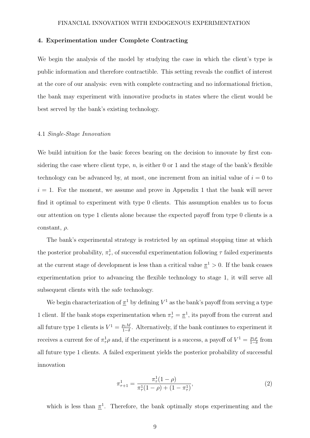#### 4. Experimentation under Complete Contracting

We begin the analysis of the model by studying the case in which the client's type is public information and therefore contractible. This setting reveals the conflict of interest at the core of our analysis: even with complete contracting and no informational friction, the bank may experiment with innovative products in states where the client would be best served by the bank's existing technology.

#### 4.1 Single-Stage Innovation

We build intuition for the basic forces bearing on the decision to innovate by first considering the case where client type,  $n$ , is either 0 or 1 and the stage of the bank's flexible technology can be advanced by, at most, one increment from an initial value of  $i = 0$  to  $i = 1$ . For the moment, we assume and prove in Appendix 1 that the bank will never find it optimal to experiment with type 0 clients. This assumption enables us to focus our attention on type 1 clients alone because the expected payoff from type 0 clients is a constant,  $\rho$ .

The bank's experimental strategy is restricted by an optimal stopping time at which the posterior probability,  $\pi^1_\tau$ , of successful experimentation following  $\tau$  failed experiments at the current stage of development is less than a critical value  $\pi$ <sup>1</sup> > 0. If the bank ceases experimentation prior to advancing the flexible technology to stage 1, it will serve all subsequent clients with the safe technology.

We begin characterization of  $\pi^1$  by defining  $V^1$  as the bank's payoff from serving a type 1 client. If the bank stops experimentation when  $\pi_{\tau}^{1} = \underline{\pi}^{1}$ , its payoff from the current and all future type 1 clients is  $V^1 = \frac{p_1 M}{1-\delta}$  $\frac{p_1 M}{1-\delta}$ . Alternatively, if the bank continues to experiment it receives a current fee of  $\pi^1_\tau \rho$  and, if the experiment is a success, a payoff of  $V^1 = \frac{p_1 \rho}{1 - \delta}$  $\frac{p_1 \rho}{1-\delta}$  from all future type 1 clients. A failed experiment yields the posterior probability of successful innovation

$$
\pi_{\tau+1}^1 = \frac{\pi_\tau^1 (1 - \rho)}{\pi_\tau^1 (1 - \rho) + (1 - \pi_\tau^1)},\tag{2}
$$

which is less than  $\pi^1$ . Therefore, the bank optimally stops experimenting and the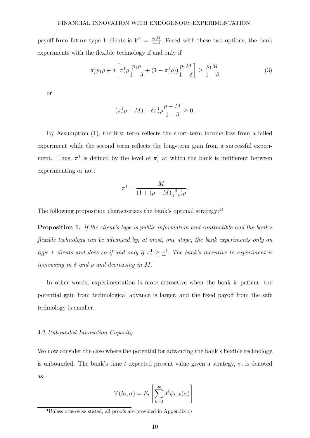payoff from future type 1 clients is  $V^1 = \frac{p_1 M}{1-\delta}$  $\frac{p_1 M}{1-\delta}$ . Faced with these two options, the bank experiments with the flexible technology if and only if

$$
\pi_{\tau}^{1} p_{1} \rho + \delta \left[ \pi_{\tau}^{1} \rho \frac{p_{1} \rho}{1 - \delta} + (1 - \pi_{\tau}^{1} \rho) \frac{p_{1} M}{1 - \delta} \right] \ge \frac{p_{1} M}{1 - \delta}
$$
(3)

or

$$
(\pi^1_\tau \rho - M) + \delta \pi^1_\tau \rho \frac{\rho - M}{1 - \delta} \ge 0.
$$

By Assumption (1), the first term reflects the short-term income loss from a failed experiment while the second term reflects the long-term gain from a successful experiment. Thus,  $\pi^1$  is defined by the level of  $\pi^1$  at which the bank is indifferent between experimenting or not:

$$
\underline{\pi}^1 = \frac{M}{(1 + (\rho - M)\frac{\delta}{1 - \delta})\rho}.
$$

The following proposition characterizes the bank's optimal strategy:<sup>14</sup>

Proposition 1. If the client's type is public information and contractible and the bank's flexible technology can be advanced by, at most, one stage, the bank experiments only on type 1 clients and does so if and only if  $\pi^1$   $\geq \pi^1$ . The bank's incentive to experiment is increasing in  $\delta$  and  $\rho$  and decreasing in M.

In other words, experimentation is more attractive when the bank is patient, the potential gain from technological advance is larger, and the fixed payoff from the safe technology is smaller.

#### 4.2 Unbounded Innovation Capacity

We now consider the case where the potential for advancing the bank's flexible technology is unbounded. The bank's time t expected present value given a strategy,  $\sigma$ , is denoted as

$$
V(h_t, \sigma) = E_t \left[ \sum_{k=0}^{\infty} \delta^k \phi_{t+k}(\sigma) \right].
$$

<sup>14</sup>Unless otherwise stated, all proofs are provided in Appendix 1)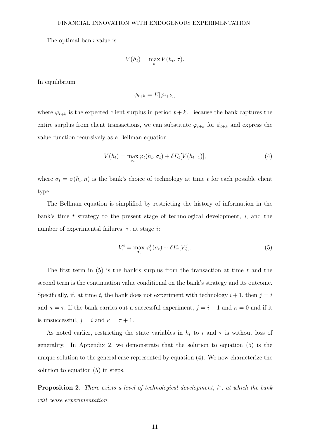The optimal bank value is

$$
V(h_t) = \max_{\sigma} V(h_t, \sigma).
$$

In equilibrium

$$
\phi_{t+k} = E[\varphi_{t+k}],
$$

where  $\varphi_{t+k}$  is the expected client surplus in period  $t+k$ . Because the bank captures the entire surplus from client transactions, we can substitute  $\varphi_{t+k}$  for  $\phi_{t+k}$  and express the value function recursively as a Bellman equation

$$
V(h_t) = \max_{\sigma_t} \varphi_t(h_t, \sigma_t) + \delta E_t[V(h_{t+1})],
$$
\n(4)

where  $\sigma_t = \sigma(h_t, n)$  is the bank's choice of technology at time t for each possible client type.

The Bellman equation is simplified by restricting the history of information in the bank's time t strategy to the present stage of technological development,  $i$ , and the number of experimental failures,  $\tau$ , at stage *i*:

$$
V_{\tau}^{i} = \max_{\sigma_t} \varphi_{\tau}^{i}(\sigma_t) + \delta E_t[V_{\kappa}^{j}].
$$
\n(5)

The first term in  $(5)$  is the bank's surplus from the transaction at time t and the second term is the continuation value conditional on the bank's strategy and its outcome. Specifically, if, at time t, the bank does not experiment with technology  $i + 1$ , then  $j = i$ and  $\kappa = \tau$ . If the bank carries out a successful experiment,  $j = i + 1$  and  $\kappa = 0$  and if it is unsuccessful,  $j = i$  and  $\kappa = \tau + 1$ .

As noted earlier, restricting the state variables in  $h_t$  to i and  $\tau$  is without loss of generality. In Appendix 2, we demonstrate that the solution to equation (5) is the unique solution to the general case represented by equation (4). We now characterize the solution to equation (5) in steps.

**Proposition 2.** There exists a level of technological development,  $i^*$ , at which the bank will cease experimentation.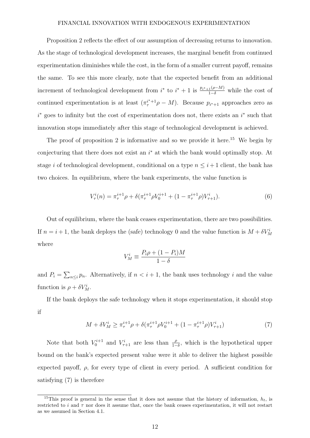Proposition 2 reflects the effect of our assumption of decreasing returns to innovation. As the stage of technological development increases, the marginal benefit from continued experimentation diminishes while the cost, in the form of a smaller current payoff, remains the same. To see this more clearly, note that the expected benefit from an additional increment of technological development from  $i^*$  to  $i^* + 1$  is  $\frac{p_{i^*+1}(\rho-M)}{1-\delta}$  while the cost of continued experimentation is at least  $(\pi^{i+1}_{\tau} \rho - M)$ . Because  $p_{i^*+1}$  approaches zero as  $i^*$  goes to infinity but the cost of experimentation does not, there exists an  $i^*$  such that innovation stops immediately after this stage of technological development is achieved.

The proof of proposition 2 is informative and so we provide it here.<sup>15</sup> We begin by conjecturing that there does not exist an  $i^*$  at which the bank would optimally stop. At stage i of technological development, conditional on a type  $n \leq i+1$  client, the bank has two choices. In equilibrium, where the bank experiments, the value function is

$$
V_{\tau}^{i}(n) = \pi_{\tau}^{i+1} \rho + \delta(\pi_{\tau}^{i+1} \rho V_{0}^{i+1} + (1 - \pi_{\tau}^{i+1} \rho) V_{\tau+1}^{i}).
$$
\n(6)

Out of equilibrium, where the bank ceases experimentation, there are two possibilities. If  $n = i + 1$ , the bank deploys the (safe) technology 0 and the value function is  $M + \delta V_M^i$ where

$$
V_M^i \equiv \frac{P_i \rho + (1 - P_i)M}{1 - \delta}
$$

and  $P_i = \sum_{n \leq i} p_n$ . Alternatively, if  $n < i + 1$ , the bank uses technology i and the value function is  $\rho + \delta V_M^i$ .

If the bank deploys the safe technology when it stops experimentation, it should stop if

$$
M + \delta V_M^i \ge \pi_\tau^{i+1} \rho + \delta(\pi_\tau^{i+1} \rho V_0^{i+1} + (1 - \pi_\tau^{i+1} \rho) V_{\tau+1}^i)
$$
(7)

Note that both  $V_0^{i+1}$  and  $V_{\tau+1}^i$  are less than  $\frac{\rho}{1-\delta}$ , which is the hypothetical upper bound on the bank's expected present value were it able to deliver the highest possible expected payoff,  $\rho$ , for every type of client in every period. A sufficient condition for satisfying (7) is therefore

<sup>&</sup>lt;sup>15</sup>This proof is general in the sense that it does not assume that the history of information,  $h_t$ , is restricted to i and  $\tau$  nor does it assume that, once the bank ceases experimentation, it will not restart as we assumed in Section 4.1.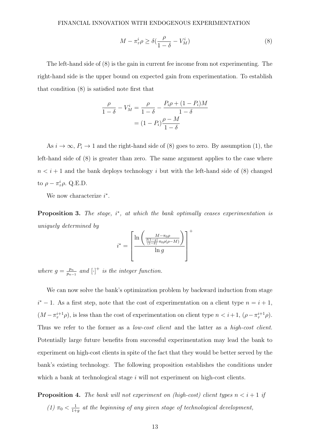$$
M - \pi_{\tau}^{i} \rho \ge \delta \left( \frac{\rho}{1 - \delta} - V_M^{i} \right) \tag{8}
$$

The left-hand side of (8) is the gain in current fee income from not experimenting. The right-hand side is the upper bound on expected gain from experimentation. To establish that condition (8) is satisfied note first that

$$
\frac{\rho}{1-\delta} - V_M^i = \frac{\rho}{1-\delta} - \frac{P_i \rho + (1-P_i)M}{1-\delta}
$$

$$
= (1-P_i)\frac{\rho-M}{1-\delta}
$$

As  $i \to \infty$ ,  $P_i \to 1$  and the right-hand side of (8) goes to zero. By assumption (1), the left-hand side of (8) is greater than zero. The same argument applies to the case where  $n < i + 1$  and the bank deploys technology i but with the left-hand side of (8) changed to  $\rho - \pi^i_\tau \rho$ . Q.E.D.

We now characterize  $i^*$ .

**Proposition 3.** The stage,  $i^*$ , at which the bank optimally ceases experimentation is uniquely determined by

$$
i^* = \left[\frac{\ln\left(\frac{M-\pi_0\rho}{\frac{\delta(1-g)}{\delta(1-\delta)}\pi_0\rho(\rho-M)}\right)}{\ln g}\right]^+
$$

where  $g = \frac{p_n}{n}$  $\frac{p_n}{p_{n-1}}$  and  $\left[\cdot\right]^+$  is the integer function.

We can now solve the bank's optimization problem by backward induction from stage  $i^* - 1$ . As a first step, note that the cost of experimentation on a client type  $n = i + 1$ ,  $(M - \pi_\tau^{i+1}\rho)$ , is less than the cost of experimentation on client type  $n < i+1$ ,  $(\rho - \pi_\tau^{i+1}\rho)$ . Thus we refer to the former as a *low-cost client* and the latter as a *high-cost client*. Potentially large future benefits from successful experimentation may lead the bank to experiment on high-cost clients in spite of the fact that they would be better served by the bank's existing technology. The following proposition establishes the conditions under which a bank at technological stage  $i$  will not experiment on high-cost clients.

**Proposition 4.** The bank will not experiment on (high-cost) client types  $n < i+1$  if (1)  $\pi_0 < \frac{1}{1+}$  $\frac{1}{1+g}$  at the beginning of any given stage of technological development,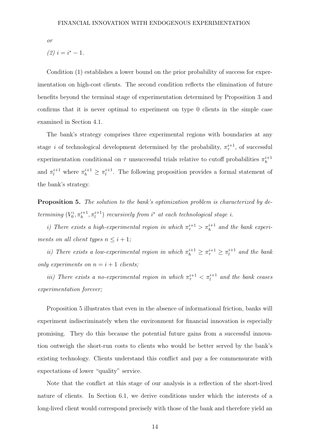or

$$
(2) i = i^* - 1.
$$

Condition (1) establishes a lower bound on the prior probability of success for experimentation on high-cost clients. The second condition reflects the elimination of future benefits beyond the terminal stage of experimentation determined by Proposition 3 and confirms that it is never optimal to experiment on type 0 clients in the simple case examined in Section 4.1.

The bank's strategy comprises three experimental regions with boundaries at any stage *i* of technological development determined by the probability,  $\pi^{i+1}_{\tau}$ , of successful experimentation conditional on  $\tau$  unsuccessful trials relative to cutoff probabilities  $\pi_h^{i+1}$ h and  $\pi_l^{i+1}$  where  $\pi_h^{i+1} \geq \pi_l^{i+1}$  $\ell_l^{i+1}$ . The following proposition provides a formal statement of the bank's strategy.

Proposition 5. The solution to the bank's optimization problem is characterized by determining  $(V_0^i, \pi_h^{i+1}, \pi_l^{i+1})$  recursively from  $i^*$  at each technological stage i.

i) There exists a high-experimental region in which  $\pi^{i+1}_{\tau} > \pi^{i+1}_{h}$  and the bank experiments on all client types  $n \leq i + 1$ ;

ii) There exists a low-experimental region in which  $\pi_h^{i+1} \geq \pi_\tau^{i+1} \geq \pi_l^{i+1}$  $\int_l^{l+1}$  and the bank only experiments on  $n = i + 1$  clients;

iii) There exists a no-experimental region in which  $\pi^{i+1}_{\tau} < \pi^{i+1}_{l}$  and the bank ceases experimentation forever;

Proposition 5 illustrates that even in the absence of informational friction, banks will experiment indiscriminately when the environment for financial innovation is especially promising. They do this because the potential future gains from a successful innovation outweigh the short-run costs to clients who would be better served by the bank's existing technology. Clients understand this conflict and pay a fee commensurate with expectations of lower "quality" service.

Note that the conflict at this stage of our analysis is a reflection of the short-lived nature of clients. In Section 6.1, we derive conditions under which the interests of a long-lived client would correspond precisely with those of the bank and therefore yield an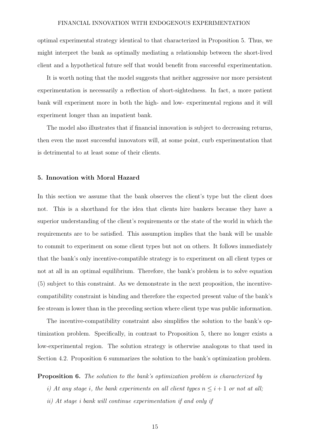optimal experimental strategy identical to that characterized in Proposition 5. Thus, we might interpret the bank as optimally mediating a relationship between the short-lived client and a hypothetical future self that would benefit from successful experimentation.

It is worth noting that the model suggests that neither aggressive nor more persistent experimentation is necessarily a reflection of short-sightedness. In fact, a more patient bank will experiment more in both the high- and low- experimental regions and it will experiment longer than an impatient bank.

The model also illustrates that if financial innovation is subject to decreasing returns, then even the most successful innovators will, at some point, curb experimentation that is detrimental to at least some of their clients.

#### 5. Innovation with Moral Hazard

In this section we assume that the bank observes the client's type but the client does not. This is a shorthand for the idea that clients hire bankers because they have a superior understanding of the client's requirements or the state of the world in which the requirements are to be satisfied. This assumption implies that the bank will be unable to commit to experiment on some client types but not on others. It follows immediately that the bank's only incentive-compatible strategy is to experiment on all client types or not at all in an optimal equilibrium. Therefore, the bank's problem is to solve equation (5) subject to this constraint. As we demonstrate in the next proposition, the incentivecompatibility constraint is binding and therefore the expected present value of the bank's fee stream is lower than in the preceding section where client type was public information.

The incentive-compatibility constraint also simplifies the solution to the bank's optimization problem. Specifically, in contrast to Proposition 5, there no longer exists a low-experimental region. The solution strategy is otherwise analogous to that used in Section 4.2. Proposition 6 summarizes the solution to the bank's optimization problem.

**Proposition 6.** The solution to the bank's optimization problem is characterized by

- i) At any stage i, the bank experiments on all client types  $n \leq i + 1$  or not at all;
- ii) At stage i bank will continue experimentation if and only if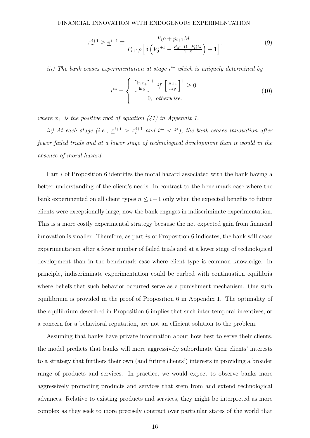$$
\pi_{\tau}^{i+1} \geq \underline{\pi}^{i+1} \equiv \frac{P_i \rho + p_{i+1} M}{P_{i+1} \rho \left[ \delta \left( V_0^{i+1} - \frac{P_i \rho + (1 - P_i) M}{1 - \delta} \right) + 1 \right]}.
$$
\n(9)

iii) The bank ceases experimentation at stage i<sup>\*\*</sup> which is uniquely determined by

$$
i^{**} = \begin{cases} \left[\frac{\ln x_{+}}{\ln g}\right]^{+} & \text{if } \left[\frac{\ln x_{+}}{\ln g}\right]^{+} \ge 0\\ 0, & \text{otherwise.} \end{cases}
$$
 (10)

where  $x_+$  is the positive root of equation (41) in Appendix 1.

iv) At each stage (i.e.,  $\underline{\pi}^{i+1} > \pi^{i+1}_l$  and  $i^{**} < i^*$ ), the bank ceases innovation after fewer failed trials and at a lower stage of technological development than it would in the absence of moral hazard.

Part i of Proposition 6 identifies the moral hazard associated with the bank having a better understanding of the client's needs. In contrast to the benchmark case where the bank experimented on all client types  $n \leq i+1$  only when the expected benefits to future clients were exceptionally large, now the bank engages in indiscriminate experimentation. This is a more costly experimental strategy because the net expected gain from financial innovation is smaller. Therefore, as part iv of Proposition 6 indicates, the bank will cease experimentation after a fewer number of failed trials and at a lower stage of technological development than in the benchmark case where client type is common knowledge. In principle, indiscriminate experimentation could be curbed with continuation equilibria where beliefs that such behavior occurred serve as a punishment mechanism. One such equilibrium is provided in the proof of Proposition 6 in Appendix 1. The optimality of the equilibrium described in Proposition 6 implies that such inter-temporal incentives, or a concern for a behavioral reputation, are not an efficient solution to the problem.

Assuming that banks have private information about how best to serve their clients, the model predicts that banks will more aggressively subordinate their clients' interests to a strategy that furthers their own (and future clients') interests in providing a broader range of products and services. In practice, we would expect to observe banks more aggressively promoting products and services that stem from and extend technological advances. Relative to existing products and services, they might be interpreted as more complex as they seek to more precisely contract over particular states of the world that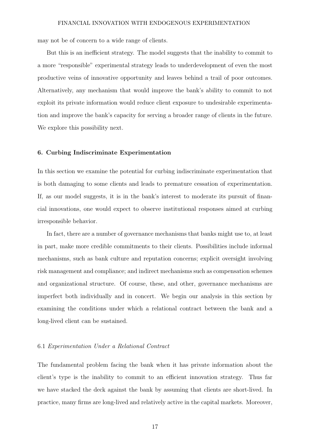may not be of concern to a wide range of clients.

But this is an inefficient strategy. The model suggests that the inability to commit to a more "responsible" experimental strategy leads to underdevelopment of even the most productive veins of innovative opportunity and leaves behind a trail of poor outcomes. Alternatively, any mechanism that would improve the bank's ability to commit to not exploit its private information would reduce client exposure to undesirable experimentation and improve the bank's capacity for serving a broader range of clients in the future. We explore this possibility next.

#### 6. Curbing Indiscriminate Experimentation

In this section we examine the potential for curbing indiscriminate experimentation that is both damaging to some clients and leads to premature cessation of experimentation. If, as our model suggests, it is in the bank's interest to moderate its pursuit of financial innovations, one would expect to observe institutional responses aimed at curbing irresponsible behavior.

In fact, there are a number of governance mechanisms that banks might use to, at least in part, make more credible commitments to their clients. Possibilities include informal mechanisms, such as bank culture and reputation concerns; explicit oversight involving risk management and compliance; and indirect mechanisms such as compensation schemes and organizational structure. Of course, these, and other, governance mechanisms are imperfect both individually and in concert. We begin our analysis in this section by examining the conditions under which a relational contract between the bank and a long-lived client can be sustained.

#### 6.1 Experimentation Under a Relational Contract

The fundamental problem facing the bank when it has private information about the client's type is the inability to commit to an efficient innovation strategy. Thus far we have stacked the deck against the bank by assuming that clients are short-lived. In practice, many firms are long-lived and relatively active in the capital markets. Moreover,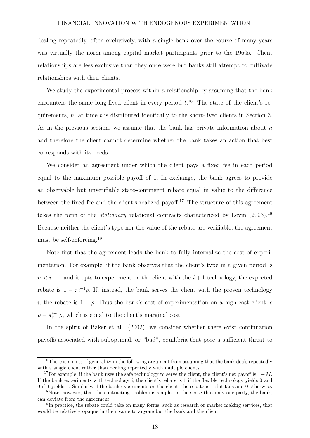dealing repeatedly, often exclusively, with a single bank over the course of many years was virtually the norm among capital market participants prior to the 1960s. Client relationships are less exclusive than they once were but banks still attempt to cultivate relationships with their clients.

We study the experimental process within a relationship by assuming that the bank encounters the same long-lived client in every period  $t<sup>16</sup>$ . The state of the client's requirements,  $n$ , at time  $t$  is distributed identically to the short-lived clients in Section 3. As in the previous section, we assume that the bank has private information about  $n$ and therefore the client cannot determine whether the bank takes an action that best corresponds with its needs.

We consider an agreement under which the client pays a fixed fee in each period equal to the maximum possible payoff of 1. In exchange, the bank agrees to provide an observable but unverifiable state-contingent rebate equal in value to the difference between the fixed fee and the client's realized payoff.<sup>17</sup> The structure of this agreement takes the form of the *stationary* relational contracts characterized by Levin  $(2003)$ .<sup>18</sup> Because neither the client's type nor the value of the rebate are verifiable, the agreement must be self-enforcing.<sup>19</sup>

Note first that the agreement leads the bank to fully internalize the cost of experimentation. For example, if the bank observes that the client's type in a given period is  $n < i+1$  and it opts to experiment on the client with the  $i+1$  technology, the expected rebate is  $1 - \pi^{i+1}_{\tau} \rho$ . If, instead, the bank serves the client with the proven technology i, the rebate is  $1 - \rho$ . Thus the bank's cost of experimentation on a high-cost client is  $\rho - \pi^{i+1}_{\tau} \rho$ , which is equal to the client's marginal cost.

In the spirit of Baker et al. (2002), we consider whether there exist continuation payoffs associated with suboptimal, or "bad", equilibria that pose a sufficient threat to

<sup>&</sup>lt;sup>16</sup>There is no loss of generality in the following argument from assuming that the bank deals repeatedly with a single client rather than dealing repeatedly with multiple clients.

<sup>&</sup>lt;sup>17</sup>For example, if the bank uses the safe technology to serve the client, the client's net payoff is  $1 - M$ . If the bank experiments with technology  $i$ , the client's rebate is 1 if the flexible technology yields 0 and 0 if it yields 1. Similarly, if the bank experiments on the client, the rebate is 1 if it fails and 0 otherwise.

 $18$ Note, however, that the contracting problem is simpler in the sense that only one party, the bank, can deviate from the agreement.

<sup>&</sup>lt;sup>19</sup>In practice, the rebate could take on many forms, such as research or market making services, that would be relatively opaque in their value to anyone but the bank and the client.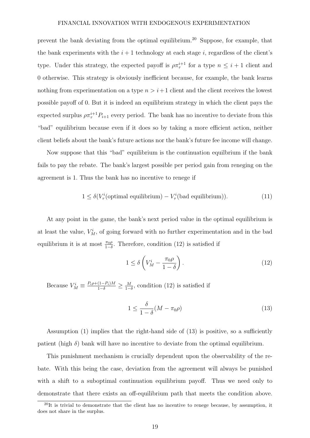prevent the bank deviating from the optimal equilibrium.<sup>20</sup> Suppose, for example, that the bank experiments with the  $i+1$  technology at each stage i, regardless of the client's type. Under this strategy, the expected payoff is  $\rho \pi^{i+1}_{\tau}$  for a type  $n \leq i+1$  client and 0 otherwise. This strategy is obviously inefficient because, for example, the bank learns nothing from experimentation on a type  $n > i+1$  client and the client receives the lowest possible payoff of 0. But it is indeed an equilibrium strategy in which the client pays the expected surplus  $\rho \pi^{i+1}_{\tau} P_{i+1}$  every period. The bank has no incentive to deviate from this "bad" equilibrium because even if it does so by taking a more efficient action, neither client beliefs about the bank's future actions nor the bank's future fee income will change.

Now suppose that this "bad" equilibrium is the continuation equilbrium if the bank fails to pay the rebate. The bank's largest possible per period gain from reneging on the agreement is 1. Thus the bank has no incentive to renege if

$$
1 \le \delta(V_{\tau}^{i}(\text{optimal equilibrium}) - V_{\tau}^{i}(\text{bad equilibrium})).\tag{11}
$$

At any point in the game, the bank's next period value in the optimal equilibrium is at least the value,  $V_M^i$ , of going forward with no further experimentation and in the bad equilibrium it is at most  $\frac{\pi_0 \rho}{1-\delta}$ . Therefore, condition (12) is satisfied if

$$
1 \le \delta \left( V_M^i - \frac{\pi_0 \rho}{1 - \delta} \right). \tag{12}
$$

Because  $V_M^i \equiv \frac{P_i \rho + (1 - P_i)M}{1 - \delta} \ge \frac{M}{1 - \delta}$  $\frac{M}{1-\delta}$ , condition (12) is satisfied if

$$
1 \le \frac{\delta}{1-\delta}(M - \pi_0 \rho) \tag{13}
$$

Assumption (1) implies that the right-hand side of (13) is positive, so a sufficiently patient (high  $\delta$ ) bank will have no incentive to deviate from the optimal equilibrium.

This punishment mechanism is crucially dependent upon the observability of the rebate. With this being the case, deviation from the agreement will always be punished with a shift to a suboptimal continuation equilibrium payoff. Thus we need only to demonstrate that there exists an off-equilibrium path that meets the condition above.

 $^{20}$ It is trivial to demonstrate that the client has no incentive to renege because, by assumption, it does not share in the surplus.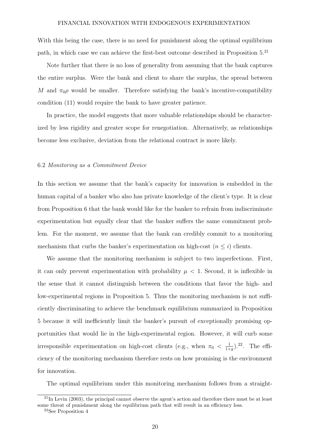With this being the case, there is no need for punishment along the optimal equilibrium path, in which case we can achieve the first-best outcome described in Proposition 5.<sup>21</sup>

Note further that there is no loss of generality from assuming that the bank captures the entire surplus. Were the bank and client to share the surplus, the spread between M and  $\pi_0 \rho$  would be smaller. Therefore satisfying the bank's incentive-compatibility condition (11) would require the bank to have greater patience.

In practice, the model suggests that more valuable relationships should be characterized by less rigidity and greater scope for renegotiation. Alternatively, as relationships become less exclusive, deviation from the relational contract is more likely.

#### 6.2 Monitoring as a Commitment Device

In this section we assume that the bank's capacity for innovation is embedded in the human capital of a banker who also has private knowledge of the client's type. It is clear from Proposition 6 that the bank would like for the banker to refrain from indiscriminate experimentation but equally clear that the banker suffers the same commitment problem. For the moment, we assume that the bank can credibly commit to a monitoring mechanism that curbs the banker's experimentation on high-cost  $(n \leq i)$  clients.

We assume that the monitoring mechanism is subject to two imperfections. First, it can only prevent experimentation with probability  $\mu < 1$ . Second, it is inflexible in the sense that it cannot distinguish between the conditions that favor the high- and low-experimental regions in Proposition 5. Thus the monitoring mechanism is not sufficiently discriminating to achieve the benchmark equilibrium summarized in Proposition 5 because it will inefficiently limit the banker's pursuit of exceptionally promising opportunities that would lie in the high-experimental region. However, it will curb some irresponsible experimentation on high-cost clients (e.g., when  $\pi_0 < \frac{1}{1+1}$  $\frac{1}{1+g}$ ).<sup>22</sup>. The efficiency of the monitoring mechanism therefore rests on how promising is the environment for innovation.

The optimal equilibrium under this monitoring mechanism follows from a straight-

 $^{21}$ In Levin (2003), the principal cannot observe the agent's action and therefore there must be at least some threat of punishment along the equilibrium path that will result in an efficiency loss. <sup>22</sup>See Proposition 4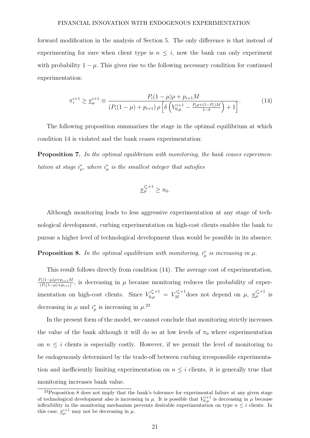forward modification in the analysis of Section 5. The only difference is that instead of experimenting for sure when client type is  $n \leq i$ , now the bank can only experiment with probability  $1 - \mu$ . This gives rise to the following necessary condition for continued experimentation:

$$
\pi_{\tau}^{i+1} \ge \underline{\pi}_{\mu}^{i+1} \equiv \frac{P_i(1-\mu)\rho + p_{i+1}M}{\left(P_i(1-\mu) + p_{i+1}\right)\rho \left[\delta\left(V_{0,\mu}^{i+1} - \frac{P_i\rho + (1-P_i)M}{1-\delta}\right) + 1\right]}.
$$
(14)

The following proposition summarizes the stage in the optimal equilibrium at which condition 14 is violated and the bank ceases experimentation:

**Proposition 7.** In the optimal equilibrium with monitoring, the bank ceases experimentation at stage  $i^*_{\mu}$ , where  $i^*_{\mu}$  is the smallest integer that satisfies

$$
\underline{\pi}_{\mu}^{i_{\mu}^*+1} \geq \pi_0.
$$

Although monitoring leads to less aggressive experimentation at any stage of technological development, curbing experimentation on high-cost clients enables the bank to pursue a higher level of technological development than would be possible in its absence.

**Proposition 8.** In the optimal equilibrium with monitoring,  $i^*_{\mu}$  is increasing in  $\mu$ .

This result follows directly from condition (14). The average cost of experimentation,  $P_i(1-\mu)\rho+p_{i+1}M$  $\frac{\gamma_i(1-\mu)\rho+p_{i+1}M}{(P_i(1-\mu)+p_{i+1})}$ , is decreasing in  $\mu$  because monitoring reduces the probability of experimentation on high-cost clients. Since  $V_{0,\mu}^{i^*_{\mu}+1} = V_M^{i^*_{\mu}+1}$  does not depend on  $\mu$ ,  $\frac{\pi^{i^*_{\mu}+1}_{\mu}}{\pi^{i^*_{\mu}+1}}$  is decreasing in  $\mu$  and  $i^*_{\mu}$  is increasing in  $\mu$ <sup>23</sup>

In the present form of the model, we cannot conclude that monitoring strictly increases the value of the bank although it will do so at low levels of  $\pi_0$  where experimentation on  $n \leq i$  clients is especially costly. However, if we permit the level of monitoring to be endogenously determined by the trade-off between curbing irresponsible experimentation and inefficiently limiting experimentation on  $n \leq i$  clients, it is generally true that monitoring increases bank value.

<sup>&</sup>lt;sup>23</sup>Proposition 8 does not imply that the bank's tolerance for experimental failure at any given stage of technological development also is increasing in  $\mu$ . It is possible that  $V_{0,\mu}^{i+1}$  is decreasing in  $\mu$  because inflexibility in the monitoring mechanism prevents desirable experimentation on type  $n \leq i$  clients. In this case,  $\pi_{\mu}^{i+1}$  may not be decreasing in  $\mu$ .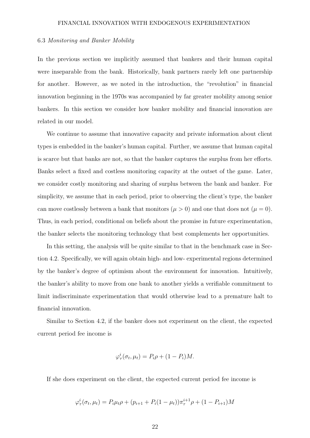#### 6.3 Monitoring and Banker Mobility

In the previous section we implicitly assumed that bankers and their human capital were inseparable from the bank. Historically, bank partners rarely left one partnership for another. However, as we noted in the introduction, the "revolution" in financial innovation beginning in the 1970s was accompanied by far greater mobility among senior bankers. In this section we consider how banker mobility and financial innovation are related in our model.

We continue to assume that innovative capacity and private information about client types is embedded in the banker's human capital. Further, we assume that human capital is scarce but that banks are not, so that the banker captures the surplus from her efforts. Banks select a fixed and costless monitoring capacity at the outset of the game. Later, we consider costly monitoring and sharing of surplus between the bank and banker. For simplicity, we assume that in each period, prior to observing the client's type, the banker can move costlessly between a bank that monitors  $(\mu > 0)$  and one that does not  $(\mu = 0)$ . Thus, in each period, conditional on beliefs about the promise in future experimentation, the banker selects the monitoring technology that best complements her opportunities.

In this setting, the analysis will be quite similar to that in the benchmark case in Section 4.2. Specifically, we will again obtain high- and low- experimental regions determined by the banker's degree of optimism about the environment for innovation. Intuitively, the banker's ability to move from one bank to another yields a verifiable commitment to limit indiscriminate experimentation that would otherwise lead to a premature halt to financial innovation.

Similar to Section 4.2, if the banker does not experiment on the client, the expected current period fee income is

$$
\varphi_{\tau}^{i}(\sigma_t, \mu_t) = P_i \rho + (1 - P_i) M.
$$

If she does experiment on the client, the expected current period fee income is

$$
\varphi_{\tau}^{i}(\sigma_{t}, \mu_{t}) = P_{i} \mu_{t} \rho + (p_{i+1} + P_{i}(1 - \mu_{t})) \pi_{\tau}^{i+1} \rho + (1 - P_{i+1})M
$$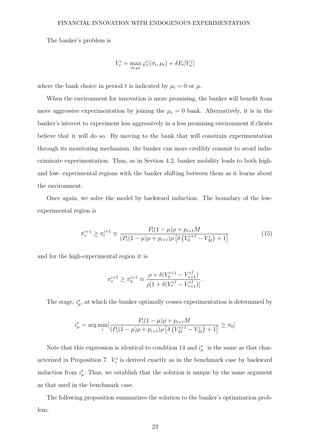The banker's problem is

$$
V_{\tau}^{i} = \max_{\sigma_t, \mu_t} \varphi_{\tau}^{i}(\sigma_t, \mu_t) + \delta E_t[V_{\kappa}^{j}]
$$

where the bank choice in period t is indicated by  $\mu_t = 0$  or  $\mu$ .

When the environment for innovation is more promising, the banker will benefit from more aggressive experimentation by joining the  $\mu_t = 0$  bank. Alternatively, it is in the banker's interest to experiment less aggressively in a less promising environment if clients believe that it will do so. By moving to the bank that will constrain experimentation through its monitoring mechanism, the banker can more credibly commit to avoid indiscriminate experimentation. Thus, as in Section 4.2, banker mobility leads to both highand low- experimental regions with the banker shifting between them as it learns about the environment.

Once again, we solve the model by backward induction. The boundary of the lowexperimental region is

$$
\pi_{\tau}^{i+1} \ge \pi_l^{i+1} \equiv \frac{P_i(1-\mu)\rho + p_{i+1}M}{(P_i(1-\mu)\rho + p_{i+1})\rho \left[\delta\left(V_0^{i+1} - V_M^i\right) + 1\right]}
$$
(15)

and for the high-experimental region it is

$$
\pi_{\tau}^{i+1} \ge \pi_h^{i+1} \equiv \frac{\rho + \delta(V_0^{i+1} - V_{\tau+1}^{i,l})}{\rho[1 + \delta(V_{\tau}^{i,l} - V_{\tau+1}^{i,l})]}.
$$

The stage,  $i^*_{\mu}$ , at which the banker optimally ceases experimentation is determined by

$$
i_{\mu}^* = \arg \min_{i} \left[ \frac{P_i(1-\mu)\rho + p_{i+1}M}{(P_i(1-\mu)\rho + p_{i+1})\rho \left[ \delta \left( V_M^{i+1} - V_M^i \right) + 1 \right]} \ge \pi_0 \right]
$$

Note that this expression is identical to condition 14 and  $i^*_{\mu}$  is the same as that characterized in Proposition 7.  $V^i_\tau$  is derived exactly as in the benchmark case by backward induction from  $i^*_{\mu}$ . Thus, we establish that the solution is unique by the same argument as that used in the benchmark case.

The following proposition summarizes the solution to the banker's optimization problem: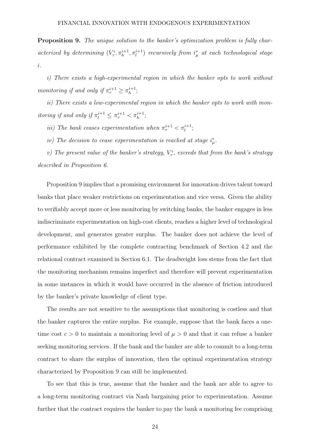Proposition 9. The unique solution to the banker's optimization problem is fully characterized by determining  $(V^i_\tau, \pi^{i+1}_h, \pi^{i+1}_l)$  recursively from  $i^*_{\mu}$  at each technological stage i.

i) There exists a high-experimental region in which the banker opts to work without monitoring if and only if  $\pi^{i+1}_{\tau} \geq \pi^{i+1}_{h}$  $\,h^{i+1};$ 

ii) There exists a low-experimental region in which the banker opts to work with monitoring if and only if  $\pi_l^{i+1} \leq \pi_{\tau}^{i+1} < \pi_h^{i+1}$ ;

iii) The bank ceases experimentation when  $\pi^{i+1}_{\tau} < \pi^{i+1}_{l}$ ;

iv) The decision to cease experimentation is reached at stage  $i^*_{\mu}$ .

v) The present value of the banker's strategy,  $V^i_\tau$ , exceeds that from the bank's strategy described in Proposition 6.

Proposition 9 implies that a promising environment for innovation drives talent toward banks that place weaker restrictions on experimentation and vice versa. Given the ability to verifiably accept more or less monitoring by switching banks, the banker engages in less indiscriminate experimentation on high-cost clients, reaches a higher level of technological development, and generates greater surplus. The banker does not achieve the level of performance exhibited by the complete contracting benchmark of Section 4.2 and the relational contract examined in Section 6.1. The deadweight loss stems from the fact that the monitoring mechanism remains imperfect and therefore will prevent experimentation in some instances in which it would have occurred in the absence of friction introduced by the banker's private knowledge of client type.

The results are not sensitive to the assumptions that monitoring is costless and that the banker captures the entire surplus. For example, suppose that the bank faces a onetime cost  $c > 0$  to maintain a monitoring level of  $\mu > 0$  and that it can refuse a banker seeking monitoring services. If the bank and the banker are able to commit to a long-term contract to share the surplus of innovation, then the optimal experimentation strategy characterized by Proposition 9 can still be implemented.

To see that this is true, assume that the banker and the bank are able to agree to a long-term monitoring contract via Nash bargaining prior to experimentation. Assume further that the contract requires the banker to pay the bank a monitoring fee comprising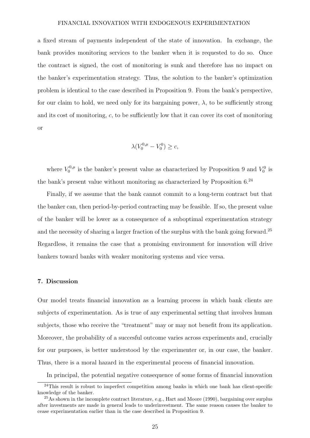a fixed stream of payments independent of the state of innovation. In exchange, the bank provides monitoring services to the banker when it is requested to do so. Once the contract is signed, the cost of monitoring is sunk and therefore has no impact on the banker's experimentation strategy. Thus, the solution to the banker's optimization problem is identical to the case described in Proposition 9. From the bank's perspective, for our claim to hold, we need only for its bargaining power,  $\lambda$ , to be sufficiently strong and its cost of monitoring,  $c$ , to be sufficiently low that it can cover its cost of monitoring or

$$
\lambda(V_0^{0,\mu} - V_0^0) \ge c,
$$

where  $V_0^{0,\mu}$  $V_0^{0,\mu}$  is the banker's present value as characterized by Proposition 9 and  $V_0^0$  is the bank's present value without monitoring as characterized by Proposition  $6.^{24}$ 

Finally, if we assume that the bank cannot commit to a long-term contract but that the banker can, then period-by-period contracting may be feasible. If so, the present value of the banker will be lower as a consequence of a suboptimal experimentation strategy and the necessity of sharing a larger fraction of the surplus with the bank going forward.<sup>25</sup> Regardless, it remains the case that a promising environment for innovation will drive bankers toward banks with weaker monitoring systems and vice versa.

#### 7. Discussion

Our model treats financial innovation as a learning process in which bank clients are subjects of experimentation. As is true of any experimental setting that involves human subjects, those who receive the "treatment" may or may not benefit from its application. Moreover, the probability of a succesful outcome varies across experiments and, crucially for our purposes, is better understood by the experimenter or, in our case, the banker. Thus, there is a moral hazard in the experimental process of financial innovation.

In principal, the potential negative consequence of some forms of financial innovation

<sup>&</sup>lt;sup>24</sup>This result is robust to imperfect competition among banks in which one bank has client-specific knowledge of the banker.

<sup>&</sup>lt;sup>25</sup>As shown in the incomplete contract literature, e.g., Hart and Moore (1990), bargaining over surplus after investments are made in general leads to underinvestment. The same reason causes the banker to cease experimentation earlier than in the case described in Proposition 9.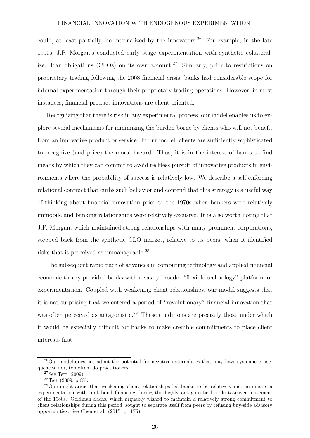could, at least partially, be internalized by the innovators.<sup>26</sup> For example, in the late 1990s, J.P. Morgan's conducted early stage experimentation with synthetic collateralized loan obligations (CLOs) on its own account.<sup>27</sup> Similarly, prior to restrictions on proprietary trading following the 2008 financial crisis, banks had considerable scope for internal experimentation through their proprietary trading operations. However, in most instances, financial product innovations are client oriented.

Recognizing that there is risk in any experimental process, our model enables us to explore several mechanisms for minimizing the burden borne by clients who will not benefit from an innovative product or service. In our model, clients are sufficiently sophisticated to recognize (and price) the moral hazard. Thus, it is in the interest of banks to find means by which they can commit to avoid reckless pursuit of innovative products in environments where the probability of success is relatively low. We describe a self-enforcing relational contract that curbs such behavior and contend that this strategy is a useful way of thinking about financial innovation prior to the 1970s when bankers were relatively immobile and banking relationships were relatively excusive. It is also worth noting that J.P. Morgan, which maintained strong relationships with many prominent corporations, stepped back from the synthetic CLO market, relative to its peers, when it identified risks that it perceived as unmanageable.<sup>28</sup>

The subsequent rapid pace of advances in computing technology and applied financial economic theory provided banks with a vastly broader "flexible technology" platform for experimentation. Coupled with weakening client relationships, our model suggests that it is not surprising that we entered a period of "revolutionary" financial innovation that was often perceived as antagonistic.<sup>29</sup> These conditions are precisely those under which it would be especially difficult for banks to make credible commitments to place client interests first.

<sup>&</sup>lt;sup>26</sup>Our model does not admit the potential for negative externalities that may have systemic consequences, nor, too often, do practitioners.

 $27$ See Tett (2009).

 $28$ Tett (2009, p.68).

<sup>&</sup>lt;sup>29</sup>One might argue that weakening client relationships led banks to be relatively indiscriminate in experimentation with junk-bond financing during the highly antagonistic hostile takeover movement of the 1980s. Goldman Sachs, which arguably wished to maintain a relatively strong commitment to client relationships during this period, sought to separate itself from peers by refusing buy-side advisory opportunities. See Chen et al. (2015, p.1175).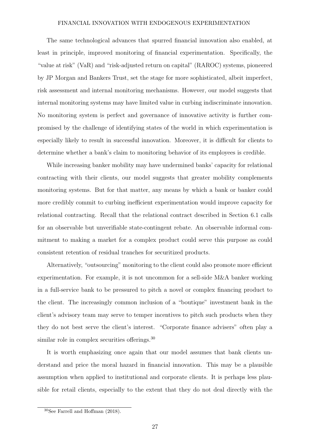The same technological advances that spurred financial innovation also enabled, at least in principle, improved monitoring of financial experimentation. Specifically, the "value at risk" (VaR) and "risk-adjusted return on capital" (RAROC) systems, pioneered by JP Morgan and Bankers Trust, set the stage for more sophisticated, albeit imperfect, risk assessment and internal monitoring mechanisms. However, our model suggests that internal monitoring systems may have limited value in curbing indiscriminate innovation. No monitoring system is perfect and governance of innovative activity is further compromised by the challenge of identifying states of the world in which experimentation is especially likely to result in successful innovation. Moreover, it is difficult for clients to determine whether a bank's claim to monitoring behavior of its employees is credible.

While increasing banker mobility may have undermined banks' capacity for relational contracting with their clients, our model suggests that greater mobility complements monitoring systems. But for that matter, any means by which a bank or banker could more credibly commit to curbing inefficient experimentation would improve capacity for relational contracting. Recall that the relational contract described in Section 6.1 calls for an observable but unverifiable state-contingent rebate. An observable informal commitment to making a market for a complex product could serve this purpose as could consistent retention of residual tranches for securitized products.

Alternatively, "outsourcing" monitoring to the client could also promote more efficient experimentation. For example, it is not uncommon for a sell-side M&A banker working in a full-service bank to be pressured to pitch a novel or complex financing product to the client. The increasingly common inclusion of a "boutique" investment bank in the client's advisory team may serve to temper incentives to pitch such products when they they do not best serve the client's interest. "Corporate finance advisers" often play a similar role in complex securities offerings.<sup>30</sup>

It is worth emphasizing once again that our model assumes that bank clients understand and price the moral hazard in financial innovation. This may be a plausible assumption when applied to institutional and corporate clients. It is perhaps less plausible for retail clients, especially to the extent that they do not deal directly with the

<sup>30</sup>See Farrell and Hoffman (2018).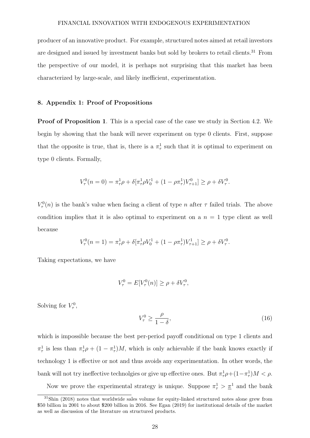producer of an innovative product. For example, structured notes aimed at retail investors are designed and issued by investment banks but sold by brokers to retail clients.<sup>31</sup> From the perspective of our model, it is perhaps not surprising that this market has been characterized by large-scale, and likely inefficient, experimentation.

# 8. Appendix 1: Proof of Propositions

Proof of Proposition 1. This is a special case of the case we study in Section 4.2. We begin by showing that the bank will never experiment on type 0 clients. First, suppose that the opposite is true, that is, there is a  $\pi^1_\tau$  such that it is optimal to experiment on type 0 clients. Formally,

$$
V_{\tau}^{0}(n=0) = \pi_{\tau}^{1}\rho + \delta[\pi_{\tau}^{1}\rho V_{0}^{1} + (1 - \rho\pi_{\tau}^{1})V_{\tau+1}^{0}] \ge \rho + \delta V_{\tau}^{0}.
$$

 $V_{\tau}^{0}(n)$  is the bank's value when facing a client of type n after  $\tau$  failed trials. The above condition implies that it is also optimal to experiment on a  $n = 1$  type client as well because

$$
V_{\tau}^{0}(n=1)=\pi_{\tau}^{1}\rho+\delta[\pi_{\tau}^{1}\rho V_{0}^{1}+(1-\rho\pi_{\tau}^{1})V_{\tau+1}^{1}]\geq\rho+\delta V_{\tau}^{0}.
$$

Taking expectations, we have

$$
V_{\tau}^{0} = E[V_{\tau}^{0}(n)] \ge \rho + \delta V_{\tau}^{0},
$$

Solving for  $V_{\tau}^0$ ,

$$
V_{\tau}^{0} \ge \frac{\rho}{1-\delta},\tag{16}
$$

which is impossible because the best per-period payoff conditional on type 1 clients and  $\pi^1_\tau$  is less than  $\pi^1_\tau \rho + (1 - \pi^1_\tau)M$ , which is only achievable if the bank knows exactly if technology 1 is effective or not and thus avoids any experimentation. In other words, the bank will not try ineffective technologies or give up effective ones. But  $\pi^1_{\tau}\rho + (1 - \pi^1_{\tau})M < \rho$ .

Now we prove the experimental strategy is unique. Suppose  $\pi^1$   $> \pi^1$  and the bank

<sup>31</sup>Shin (2018) notes that worldwide sales volume for equity-linked structured notes alone grew from \$50 billion in 2001 to about \$200 billion in 2016. See Egan (2019) for institutional details of the market as well as discussion of the literature on structured products.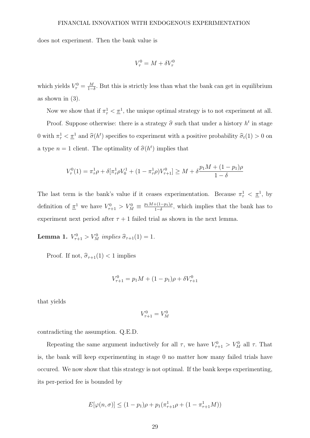does not experiment. Then the bank value is

$$
V_{\tau}^{0} = M + \delta V_{\tau}^{0}
$$

which yields  $V_{\tau}^0 = \frac{M}{1-\tau}$  $\frac{M}{1-\delta}$ . But this is strictly less than what the bank can get in equilibrium as shown in  $(3)$ .

Now we show that if  $\pi^1_\tau \leq \underline{\pi}^1$ , the unique optimal strategy is to not experiment at all. Proof. Suppose otherwise: there is a strategy  $\hat{\sigma}$  such that under a history  $h^t$  in stage 0 with  $\pi^1_\tau < \pi^1$  and  $\hat{\sigma}(h^t)$  specifies to experiment with a positive probability  $\hat{\sigma}_t(1) > 0$  on a type  $n = 1$  client. The optimality of  $\hat{\sigma}(h^t)$  implies that

$$
V_{\tau}^{0}(1) = \pi_{\tau}^{1} \rho + \delta[\pi_{\tau}^{1} \rho V_{0}^{1} + (1 - \pi_{\tau}^{1} \rho) V_{\tau+1}^{0}] \geq M + \delta \frac{p_{1}M + (1 - p_{1})\rho}{1 - \delta}
$$

The last term is the bank's value if it ceases experimentation. Because  $\pi_{\tau}^1 < \pi^1$ , by definition of  $\underline{\pi}^1$  we have  $V_{\tau+1}^0 > V_M^0 \equiv \frac{p_1 M + (1-p_1)\rho}{1-\delta}$  $\frac{+(1-p_1)\rho}{1-\delta}$ , which implies that the bank has to experiment next period after  $\tau + 1$  failed trial as shown in the next lemma.

**Lemma 1.**  $V_{\tau+1}^0 > V_M^0$  implies  $\hat{\sigma}_{\tau+1}(1) = 1$ .

Proof. If not,  $\hat{\sigma}_{\tau+1}(1) < 1$  implies

$$
V_{\tau+1}^0 = p_1 M + (1 - p_1)\rho + \delta V_{\tau+1}^0
$$

that yields

$$
V_{\tau+1}^0 = V_M^0
$$

contradicting the assumption. Q.E.D.

Repeating the same argument inductively for all  $\tau$ , we have  $V_{\tau+1}^0 > V_M^0$  all  $\tau$ . That is, the bank will keep experimenting in stage 0 no matter how many failed trials have occured. We now show that this strategy is not optimal. If the bank keeps experimenting, its per-period fee is bounded by

$$
E[\varphi(n,\sigma)] \le (1 - p_1)\rho + p_1(\pi_{\tau+1}^1 \rho + (1 - \pi_{\tau+1}^1 M))
$$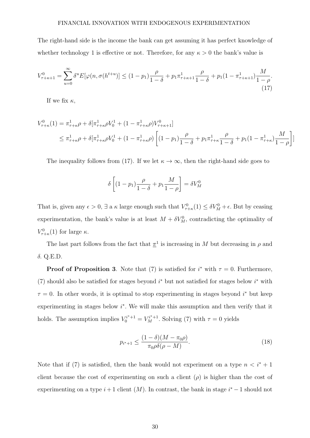The right-hand side is the income the bank can get assuming it has perfect knowledge of whether technology 1 is effective or not. Therefore, for any  $\kappa > 0$  the bank's value is

$$
V_{\tau+\kappa+1}^{0} = \sum_{u=0}^{\infty} \delta^{u} E[\varphi(n, \sigma(h^{t+u})] \le (1-p_{1}) \frac{\rho}{1-\delta} + p_{1} \pi_{\tau+\kappa+1}^{1} \frac{\rho}{1-\delta} + p_{1} (1-\pi_{\tau+\kappa+1}^{1}) \frac{M}{1-\rho}.
$$
\n(17)

If we fix  $\kappa$ ,

$$
V_{\tau+\kappa}^{0}(1) = \pi_{\tau+\kappa}^{1} \rho + \delta[\pi_{\tau+\kappa}^{1} \rho V_{0}^{1} + (1 - \pi_{\tau+\kappa}^{1} \rho)V_{\tau+\kappa+1}^{0}]
$$
  

$$
\leq \pi_{\tau+\kappa}^{1} \rho + \delta[\pi_{\tau+\kappa}^{1} \rho V_{0}^{1} + (1 - \pi_{\tau+\kappa}^{1} \rho) \left[ (1 - p_{1}) \frac{\rho}{1 - \delta} + p_{1} \pi_{\tau+\kappa}^{1} \frac{\rho}{1 - \delta} + p_{1} (1 - \pi_{\tau+\kappa}^{1}) \frac{M}{1 - \rho} \right]]
$$

The inequality follows from (17). If we let  $\kappa \to \infty$ , then the right-hand side goes to

$$
\delta \left[ (1 - p_1) \frac{\rho}{1 - \delta} + p_1 \frac{M}{1 - \rho} \right] = \delta V_M^0
$$

That is, given any  $\epsilon > 0$ ,  $\exists$  a  $\kappa$  large enough such that  $V^0_{\tau+\kappa}(1) \leq \delta V^0_M + \epsilon$ . But by ceasing experimentation, the bank's value is at least  $M + \delta V_M^0$ , contradicting the optimality of  $V^0_{\tau+\kappa}(1)$  for large  $\kappa$ .

The last part follows from the fact that  $\pi^1$  is increasing in M but decreasing in  $\rho$  and δ. Q.E.D.

**Proof of Proposition 3.** Note that (7) is satisfied for  $i^*$  with  $\tau = 0$ . Furthermore, (7) should also be satisfied for stages beyond  $i^*$  but not satisfied for stages below  $i^*$  with  $\tau = 0$ . In other words, it is optimal to stop experimenting in stages beyond i<sup>\*</sup> but keep experimenting in stages below  $i^*$ . We will make this assumption and then verify that it holds. The assumption implies  $V_0^{i^*+1} = V_M^{i^*+1}$ . Solving (7) with  $\tau = 0$  yields

$$
p_{i^*+1} \le \frac{(1-\delta)(M-\pi_0\rho)}{\pi_0\rho\delta(\rho-M)}.\tag{18}
$$

Note that if (7) is satisfied, then the bank would not experiment on a type  $n < i^* + 1$ client because the cost of experimenting on such a client  $(\rho)$  is higher than the cost of experimenting on a type  $i+1$  client  $(M)$ . In contrast, the bank in stage  $i^* - 1$  should not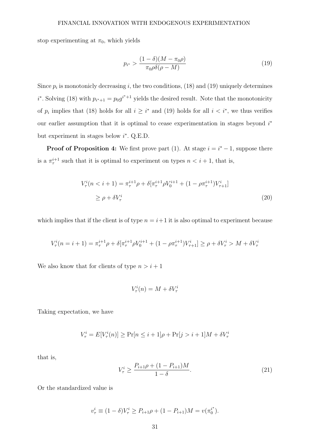stop experimenting at  $\pi_0$ , which yields

$$
p_{i^*} > \frac{(1-\delta)(M-\pi_0\rho)}{\pi_0\rho\delta(\rho-M)}\tag{19}
$$

Since  $p_i$  is monotonicly decreasing i, the two conditions, (18) and (19) uniquely determines *i*<sup>\*</sup>. Solving (18) with  $p_{i^*+1} = p_0 g^{i^*+1}$  yields the desired result. Note that the monotonicity of  $p_i$  implies that (18) holds for all  $i \geq i^*$  and (19) holds for all  $i < i^*$ , we thus verifies our earlier assumption that it is optimal to cease experimentation in stages beyond  $i^*$ but experiment in stages below  $i^*$ . Q.E.D.

**Proof of Proposition 4:** We first prove part (1). At stage  $i = i^* - 1$ , suppose there is a  $\pi^{i+1}_{\tau}$  such that it is optimal to experiment on types  $n < i+1$ , that is,

$$
V_{\tau}^{i}(n < i + 1) = \pi_{\tau}^{i+1}\rho + \delta[\pi_{\tau}^{i+1}\rho V_{0}^{i+1} + (1 - \rho \pi_{\tau}^{i+1})V_{\tau+1}^{i}]
$$
  
\n
$$
\geq \rho + \delta V_{\tau}^{i}
$$
\n(20)

which implies that if the client is of type  $n = i+1$  it is also optimal to experiment because

$$
V^i_\tau(n=i+1) = \pi_\tau^{i+1} \rho + \delta[\pi_\tau^{i+1} \rho V^{i+1}_0 + (1 - \rho \pi_\tau^{i+1}) V^i_{\tau+1}] \ge \rho + \delta V^i_\tau > M + \delta V^i_\tau
$$

We also know that for clients of type  $n > i + 1$ 

$$
V^i_\tau(n) = M + \delta V^i_\tau
$$

Taking expectation, we have

$$
V_{\tau}^{i} = E[V_{\tau}^{i}(n)] \ge \Pr[n \le i + 1]\rho + \Pr[j > i + 1]M + \delta V_{\tau}^{i}
$$

that is,

$$
V_{\tau}^{i} \ge \frac{P_{i+1}\rho + (1 - P_{i+1})M}{1 - \delta}.
$$
\n(21)

Or the standardized value is

$$
v_{\tau}^{i} \equiv (1 - \delta)V_{\tau}^{i} \ge P_{i+1}\rho + (1 - P_{i+1})M = v(\pi_{0}^{i^{*}}).
$$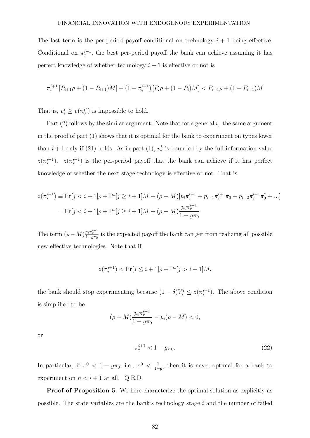The last term is the per-period payoff conditional on technology  $i + 1$  being effective. Conditional on  $\pi^{i+1}_{\tau}$ , the best per-period payoff the bank can achieve assuming it has perfect knowledge of whether technology  $i + 1$  is effective or not is

$$
\pi_{\tau}^{i+1}[P_{i+1}\rho + (1 - P_{i+1})M] + (1 - \pi_{\tau}^{i+1})[P_i\rho + (1 - P_i)M] < P_{i+1}\rho + (1 - P_{i+1})M
$$

That is,  $v^i_\tau \geq v(\pi_0^{i^*})$  $i_0^*$ ) is impossible to hold.

Part  $(2)$  follows by the similar argument. Note that for a general i, the same argument in the proof of part (1) shows that it is optimal for the bank to experiment on types lower than  $i + 1$  only if (21) holds. As in part (1),  $v^i_\tau$  is bounded by the full information value  $z(\pi^{i+1}_\tau)$ .  $z(\pi^{i+1}_\tau)$  is the per-period payoff that the bank can achieve if it has perfect knowledge of whether the next stage technology is effective or not. That is

$$
z(\pi_{\tau}^{i+1}) \equiv \Pr[j < i+1]\rho + \Pr[j \geq i+1]M + (\rho - M)[p_i \pi_{\tau}^{i+1} + p_{i+1} \pi_{\tau}^{i+1} \pi_0 + p_{i+2} \pi_{\tau}^{i+1} \pi_0^2 + \ldots]
$$
\n
$$
= \Pr[j < i+1]\rho + \Pr[j \geq i+1]M + (\rho - M)\frac{p_i \pi_{\tau}^{i+1}}{1 - g\pi_0}
$$

The term  $(\rho - M) \frac{p_i \pi^{i+1}_\tau}{1 - g \pi_0}$  is the expected payoff the bank can get from realizing all possible new effective technologies. Note that if

$$
z(\pi_{\tau}^{i+1}) < \Pr[j \leq i+1]\rho + \Pr[j > i+1]M,
$$

the bank should stop experimenting because  $(1 - \delta)V_\tau^i \leq z(\pi_\tau^{i+1})$ . The above condition is simplified to be

$$
(\rho - M) \frac{p_i \pi_\tau^{i+1}}{1 - g \pi_0} - p_i (\rho - M) < 0,
$$

or

$$
\pi_{\tau}^{i+1} < 1 - g\pi_0. \tag{22}
$$

In particular, if  $\pi^0$  < 1 –  $g\pi_0$ , i.e.,  $\pi^0$  <  $\frac{1}{1+}$  $\frac{1}{1+g}$ , then it is never optimal for a bank to experiment on  $n < i + 1$  at all. Q.E.D.

Proof of Proposition 5. We here characterize the optimal solution as explicitly as possible. The state variables are the bank's technology stage i and the number of failed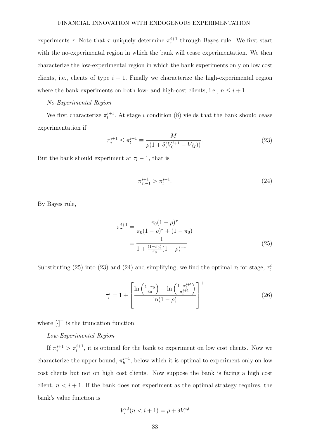experiments  $\tau$ . Note that  $\tau$  uniquely determine  $\pi^{i+1}_{\tau}$  through Bayes rule. We first start with the no-experimental region in which the bank will cease experimentation. We then characterize the low-experimental region in which the bank experiments only on low cost clients, i.e., clients of type  $i + 1$ . Finally we characterize the high-experimental region where the bank experiments on both low- and high-cost clients, i.e.,  $n \leq i + 1$ .

#### No-Experimental Region

We first characterize  $\pi_l^{i+1}$  $l_i^{i+1}$ . At stage i condition (8) yields that the bank should cease experimentation if

$$
\pi_{\tau}^{i+1} \le \pi_l^{i+1} \equiv \frac{M}{\rho(1 + \delta(V_0^{i+1} - V_M^i))}.
$$
\n(23)

But the bank should experiment at  $\tau_l - 1$ , that is

$$
\pi_{\tau_l-1}^{i+1} > \pi_l^{i+1}.\tag{24}
$$

By Bayes rule,

$$
\pi_{\tau}^{i+1} = \frac{\pi_0 (1 - \rho)^{\tau}}{\pi_0 (1 - \rho)^{\tau} + (1 - \pi_0)}
$$

$$
= \frac{1}{1 + \frac{(1 - \pi_0)}{\pi_0} (1 - \rho)^{-\tau}}
$$
(25)

Substituting (25) into (23) and (24) and simplifying, we find the optimal  $\tau_l$  for stage,  $\tau_l^i$ 

$$
\tau_l^i = 1 + \left[ \frac{\ln\left(\frac{1-\pi_0}{\pi_0}\right) - \ln\left(\frac{1-\pi_l^{i+1}}{\pi_l^{i+1}}\right)}{\ln(1-\rho)} \right]^+ \tag{26}
$$

where  $\left[\cdot\right]^+$  is the truncation function.

# Low-Experimental Region

If  $\pi^{i+1}_{\tau} > \pi^{i+1}_{l}$ , it is optimal for the bank to experiment on low cost clients. Now we characterize the upper bound,  $\pi_h^{i+1}$  $h^{i+1}$ , below which it is optimal to experiment only on low cost clients but not on high cost clients. Now suppose the bank is facing a high cost client,  $n < i + 1$ . If the bank does not experiment as the optimal strategy requires, the bank's value function is

$$
V_{\tau}^{i,l}(n < i+1) = \rho + \delta V_{\tau}^{i,l}
$$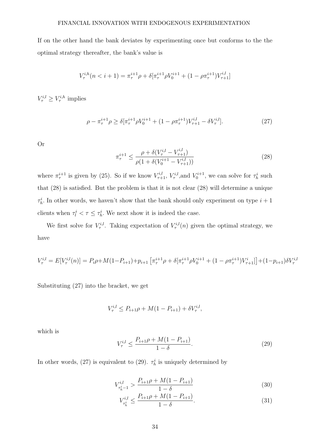If on the other hand the bank deviates by experimenting once but conforms to the the optimal strategy thereafter, the bank's value is

$$
V_{\tau}^{i,h}(n < i+1) = \pi_{\tau}^{i+1}\rho + \delta[\pi_{\tau}^{i+1}\rho V_0^{i+1} + (1 - \rho \pi_{\tau}^{i+1})V_{\tau+1}^{i,l}]
$$

 $V^{i,l}_{\tau} \geq V^{i,h}_{\tau}$  implies

$$
\rho - \pi_{\tau}^{i+1} \rho \ge \delta[\pi_{\tau}^{i+1} \rho V_0^{i+1} + (1 - \rho \pi_{\tau}^{i+1}) V_{\tau+1}^{i,l} - \delta V_{\tau}^{i,l}]. \tag{27}
$$

Or

$$
\pi_{\tau}^{i+1} \le \frac{\rho + \delta(V_{\tau}^{i,l} - V_{\tau+1}^{i,l})}{\rho(1 + \delta(V_0^{i+1} - V_{\tau+1}^{i,l}))}
$$
\n(28)

where  $\pi^{i+1}_{\tau}$  is given by (25). So if we know  $V^{i,l}_{\tau+1}$ ,  $V^{i,l}_{\tau}$ , and  $V^{i+1}_{0}$ , we can solve for  $\tau^{i}_{h}$  such that (28) is satisfied. But the problem is that it is not clear (28) will determine a unique  $\tau_h^i$ . In other words, we haven't show that the bank should only experiment on type  $i+1$ clients when  $\tau_l^i < \tau \leq \tau_h^i$ . We next show it is indeed the case.

We first solve for  $V^{i,l}_{\tau}$ . Taking expectation of  $V^{i,l}_{\tau}(n)$  given the optimal strategy, we have

$$
V_{\tau}^{i,l} = E[V_{\tau}^{i,l}(n)] = P_i \rho + M(1 - P_{i+1}) + p_{i+1} \left[ \pi_{\tau}^{i+1} \rho + \delta[\pi_{\tau}^{i+1} \rho V_0^{i+1} + (1 - \rho \pi_{\tau}^{i+1}) V_{\tau+1}^i] \right] + (1 - p_{i+1}) \delta V_{\tau}^{i,l}
$$

Substituting (27) into the bracket, we get

$$
V_{\tau}^{i,l} \le P_{i+1}\rho + M(1 - P_{i+1}) + \delta V_{\tau}^{i,l},
$$

which is

$$
V_{\tau}^{i,l} \le \frac{P_{i+1}\rho + M(1 - P_{i+1})}{1 - \delta}.
$$
\n(29)

In other words, (27) is equivalent to (29).  $\tau_h^i$  is uniquely determined by

$$
V_{\tau_h^i-1}^{i,l} > \frac{P_{i+1}\rho + M(1 - P_{i+1})}{1 - \delta} \tag{30}
$$

$$
V_{\tau_h^i}^{i,l} \le \frac{P_{i+1}\rho + M(1 - P_{i+1})}{1 - \delta}.
$$
\n(31)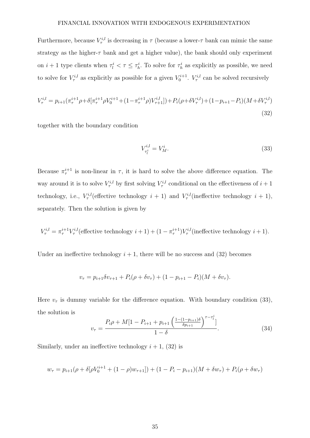Furthermore, because  $V^{i,l}_{\tau}$  is decreasing in  $\tau$  (because a lower- $\tau$  bank can mimic the same strategy as the higher- $\tau$  bank and get a higher value), the bank should only experiment on  $i+1$  type clients when  $\tau_l^i < \tau \leq \tau_h^i$ . To solve for  $\tau_h^i$  as explicitly as possible, we need to solve for  $V^{i,l}_{\tau}$  as explicitly as possible for a given  $V^{i+1}_{0}$ .  $V^{i,l}_{\tau}$  can be solved recursively

$$
V_{\tau}^{i,l} = p_{i+1}(\pi_{\tau}^{i+1}\rho + \delta[\pi_{\tau}^{i+1}\rho V_0^{i+1} + (1 - \pi_{\tau}^{i+1}\rho)V_{\tau+1}^{i,l}]) + P_i(\rho + \delta V_{\tau}^{i,l}) + (1 - p_{i+1} - P_i)(M + \delta V_{\tau}^{i,l})
$$
\n(32)

together with the boundary condition

$$
V_{\tau_l^i}^{i,l} = V_M^i. \tag{33}
$$

Because  $\pi^{i+1}_{\tau}$  is non-linear in  $\tau$ , it is hard to solve the above difference equation. The way around it is to solve  $V^{i,l}_{\tau}$  by first solving  $V^{i,l}_{\tau}$  conditional on the effectiveness of  $i+1$ technology, i.e.,  $V^{i,l}_{\tau}$  (effective technology  $i+1$ ) and  $V^{i,l}_{\tau}$  (ineffective technology  $i+1$ ), separately. Then the solution is given by

$$
V_{\tau}^{i,l} = \pi_{\tau}^{i+1} V_{\tau}^{i,l}
$$
 (effective technology  $i+1$ ) +  $(1 - \pi_{\tau}^{i+1}) V_{\tau}^{i,l}$  (ineffective technology  $i+1$ ).

Under an ineffective technology  $i + 1$ , there will be no success and (32) becomes

$$
v_{\tau} = p_{i+1} \delta v_{\tau+1} + P_i(\rho + \delta v_{\tau}) + (1 - p_{i+1} - P_i)(M + \delta v_{\tau}).
$$

Here  $v_{\tau}$  is dummy variable for the difference equation. With boundary condition (33), the solution is

$$
v_{\tau} = \frac{P_i \rho + M[1 - P_{i+1} + p_{i+1} \left(\frac{1 - (1 - p_{i+1})\delta}{\delta p_{i+1}}\right)^{\tau - \tau_i^i}]}{1 - \delta}.
$$
 (34)

Similarly, under an ineffective technology  $i + 1$ , (32) is

$$
w_{\tau} = p_{i+1}(\rho + \delta[\rho V_0^{i+1} + (1 - \rho)w_{\tau+1}]) + (1 - P_i - p_{i+1})(M + \delta w_{\tau}) + P_i(\rho + \delta w_{\tau})
$$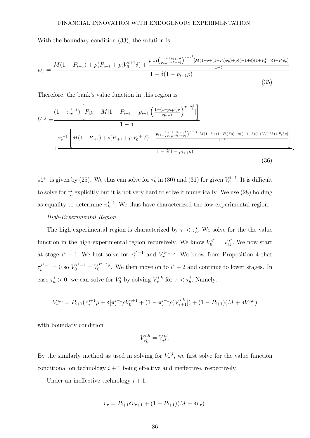With the boundary condition (33), the solution is

$$
w_{\tau} = \frac{M(1 - P_{i+1}) + \rho(P_{i+1} + p_i V_0^{i+1} \delta) + \frac{p_{i+1} \left(\frac{1-\delta+p_{i+1}\delta}{p_{i+1}\delta(1-\rho)}\right)^{\tau-\tau_i^i} [M(1-\delta+(1-P_i)\delta\rho) + \rho((-1+\delta)(1+V_0^{i+1}\delta) + P_i\delta\rho] + \rho(-1+\delta)(1+V_0^{i+1}\delta) + P_i\delta\rho]}{1-\delta(1-p_{i+1}\rho)}
$$
(35)

Therefore, the bank's value function in this region is

$$
V_{\tau}^{i,l} = \frac{(1 - \pi_{\tau}^{i+1}) \left[ P_i \rho + M[1 - P_{i+1} + p_{i+1} \left( \frac{1 - (1 - p_{i+1})\delta}{\delta p_{i+1}} \right)^{\tau - \tau_l^i} \right]}{1 - \delta} + \frac{\pi_{\tau}^{i+1} \left[ M(1 - P_{i+1}) + \rho(P_{i+1} + p_i V_0^{i+1} \delta) + \frac{p_{i+1} \left( \frac{1 - \delta + p_{i+1}\delta}{p_{i+1}\delta(1 - \rho)} \right)^{\tau - \tau_l^i} [M(1 - \delta + (1 - P_i)\delta \rho) + \rho((-1 + \delta)(1 + V_0^{i+1}\delta) + P_i \delta \rho]}{1 - \delta + \sigma_{\tau}^i} \right]}{\left( 1 - \delta (1 - p_{i+1}\rho) \right)}
$$
(36)

.

 $\pi^{i+1}_{\tau}$  is given by (25). We thus can solve for  $\tau^i_h$  in (30) and (31) for given  $V^{i+1}_0$ . It is difficult to solve for  $\tau_h^i$  explicitly but it is not very hard to solve it numerically. We use (28) holding as equality to determine  $\pi_h^{i+1}$  $h^{i+1}$ . We thus have characterized the low-experimental region.

# High-Experimental Region

The high-experimental region is characterized by  $\tau < \tau_h^i$ . We solve for the value function in the high-experimental region recursively. We know  $V_0^{i*} = V_M^{i*}$ . We now start at stage  $i^* - 1$ . We first solve for  $\tau_i^{i^*-1}$  $l_i^{i^*-1}$  and  $V_{\tau}^{i^*-1,l}$ . We know from Proposition 4 that  $\tau_h^{i^*-1} = 0$  so  $V_0^{i^*-1} = V_0^{i^*-1,l}$  $i^{i^*}-1$ . We then move on to  $i^*-2$  and continue to lower stages. In case  $\tau_h^i > 0$ , we can solve for  $V_0^i$  by solving  $V_{\tau}^{i,h}$  for  $\tau < \tau_h^i$ . Namely,

$$
V^{i,h}_{\tau} = P_{i+1}(\pi^{i+1}_{\tau}\rho + \delta[\pi^{i+1}_{\tau}\rho V^{i+1}_{0} + (1 - \pi^{i+1}_{\tau}\rho)V^{i,h}_{\tau+1}]) + (1 - P_{i+1})(M + \delta V^{i,h}_{\tau})
$$

with boundary condition

$$
V_{\tau_h^i}^{i,h} = V_{\tau_h^i}^{i,l}.
$$

By the similarly method as used in solving for  $V^{i,l}_{\tau}$ , we first solve for the value function conditional on technology  $i + 1$  being effective and ineffective, respectively.

Under an ineffective technology  $i + 1$ ,

$$
v_{\tau} = P_{i+1} \delta v_{\tau+1} + (1 - P_{i+1}) (M + \delta v_{\tau}).
$$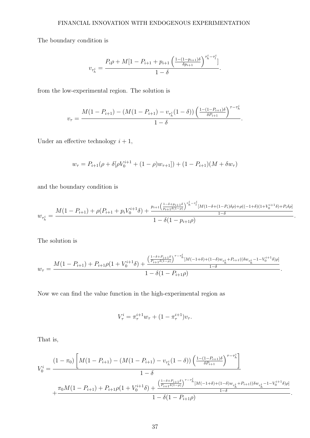The boundary condition is

$$
v_{\tau_h^i} = \frac{P_i \rho + M[1 - P_{i+1} + p_{i+1} \left(\frac{1 - (1 - p_{i+1})\delta}{\delta p_{i+1}}\right)^{\tau_h^i - \tau_l^i}]}{1 - \delta}.
$$

from the low-experimental region. The solution is

$$
v_{\tau} = \frac{M(1 - P_{i+1}) - (M(1 - P_{i+1}) - v_{\tau_h^i}(1 - \delta)) \left(\frac{1 - (1 - P_{i+1})\delta}{\delta P_{i+1}}\right)^{\tau - \tau_h^i}}{1 - \delta}.
$$

Under an effective technology  $i + 1$ ,

$$
w_{\tau} = P_{i+1}(\rho + \delta[\rho V_0^{i+1} + (1 - \rho)w_{\tau+1}]) + (1 - P_{i+1})(M + \delta w_{\tau})
$$

and the boundary condition is

$$
w_{\tau_h^i} = \frac{M(1 - P_{i+1}) + \rho(P_{i+1} + p_i V_0^{i+1} \delta) + \frac{p_{i+1} \left(\frac{1 - \delta + p_{i+1} \delta}{p_{i+1} \delta(1-\rho)}\right)^{\tau_h^i - \tau_l^i} [M(1 - \delta + (1 - P_i) \delta \rho) + \rho((-1 + \delta)(1 + V_0^{i+1} \delta) + P_i \delta \rho]}{1 - \delta}}{1 - \delta(1 - p_{i+1} \rho)}.
$$

The solution is

$$
w_{\tau} = \frac{M(1 - P_{i+1}) + P_{i+1}\rho(1 + V_0^{i+1}\delta) + \frac{\left(\frac{1-\delta + P_{i+1}\delta}{P_{i+1}\delta(1-\rho)}\right)^{\tau-\tau_h^i}[M(-1+\delta) + (1-\delta)w_{\tau_h^i} + P_{i+1}((\delta w_{\tau_h^i} - 1 - V_0^{i+1}\delta)\rho]}{1-\delta}}{1-\delta(1-P_{i+1}\rho)}.
$$

Now we can find the value function in the high-experimental region as

$$
V_{\tau}^{i} = \pi_{\tau}^{i+1} w_{\tau} + (1 - \pi_{\tau}^{i+1}) v_{\tau}.
$$

That is,

$$
V_0^i = \frac{(1 - \pi_0) \left[ M(1 - P_{i+1}) - (M(1 - P_{i+1}) - v_{\tau_h^i} (1 - \delta)) \left( \frac{1 - (1 - P_{i+1})\delta}{\delta P_{i+1}} \right)^{\tau - \tau_h^i} \right]}{1 - \delta} + \frac{\pi_0 M(1 - P_{i+1}) + P_{i+1} \rho (1 + V_0^{i+1} \delta) + \frac{\left( \frac{1 - \delta + P_{i+1}\delta}{P_{i+1}\delta(1 - \rho)} \right)^{\tau - \tau_h^i} [M(-1 + \delta) + (1 - \delta) w_{\tau_h^i} + P_{i+1}((\delta w_{\tau_h^i} - 1 - V_0^{i+1} \delta)\rho]}{1 - \delta} \cdot \frac{1 - \delta (1 - P_{i+1}\rho)}{1 - \delta}.
$$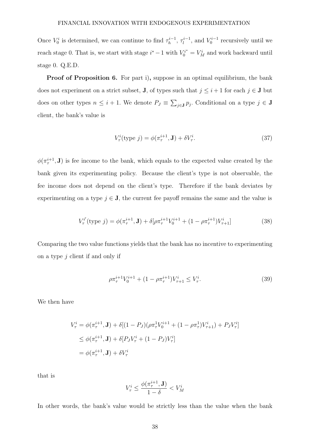Once  $V_0^i$  is determined, we can continue to find  $\tau_h^{i-1}$  $\lambda_h^{i-1}$ ,  $\tau_l^{i-1}$ , and  $V_0^{i-1}$  recursively until we reach stage 0. That is, we start with stage  $i^* - 1$  with  $V_0^{i^*} = V_M^i$  and work backward until stage 0. Q.E.D.

Proof of Proposition 6. For part i), suppose in an optimal equilibrium, the bank does not experiment on a strict subset, **J**, of types such that  $j \leq i+1$  for each  $j \in$  **J** but does on other types  $n \leq i+1$ . We denote  $P_J \equiv \sum_{j\in \mathbf{J}} p_j$ . Conditional on a type  $j \in \mathbf{J}$ client, the bank's value is

$$
V_{\tau}^{i}(\text{type } j) = \phi(\pi_{\tau}^{i+1}, \mathbf{J}) + \delta V_{\tau}^{i}.
$$
\n(37)

 $\phi(\pi^{i+1}_\tau, \mathbf{J})$  is fee income to the bank, which equals to the expected value created by the bank given its experimenting policy. Because the client's type is not observable, the fee income does not depend on the client's type. Therefore if the bank deviates by experimenting on a type  $j \in J$ , the current fee payoff remains the same and the value is

$$
V_{\tau}^{i'}(\text{type } j) = \phi(\pi_{\tau}^{i+1}, \mathbf{J}) + \delta[\rho \pi_{\tau}^{i+1} V_0^{i+1} + (1 - \rho \pi_{\tau}^{i+1}) V_{\tau+1}^i]
$$
(38)

Comparing the two value functions yields that the bank has no incentive to experimenting on a type  $j$  client if and only if

$$
\rho \pi_{\tau}^{i+1} V_0^{i+1} + (1 - \rho \pi_{\tau}^{i+1}) V_{\tau+1}^i \le V_{\tau}^i. \tag{39}
$$

We then have

$$
V_{\tau}^{i} = \phi(\pi_{\tau}^{i+1}, \mathbf{J}) + \delta[(1 - P_{J})(\rho \pi_{\tau}^{1} V_{0}^{i+1} + (1 - \rho \pi_{\tau}^{1}) V_{\tau+1}^{i}) + P_{J} V_{\tau}^{i}]
$$
  
\n
$$
\leq \phi(\pi_{\tau}^{i+1}, \mathbf{J}) + \delta[P_{J} V_{\tau}^{i} + (1 - P_{J}) V_{\tau}^{i}]
$$
  
\n
$$
= \phi(\pi_{\tau}^{i+1}, \mathbf{J}) + \delta V_{\tau}^{i}
$$

that is

$$
V^i_\tau \leq \frac{\phi(\pi^{i+1}_\tau, \mathbf{J})}{1-\delta} < V^i_M
$$

In other words, the bank's value would be strictly less than the value when the bank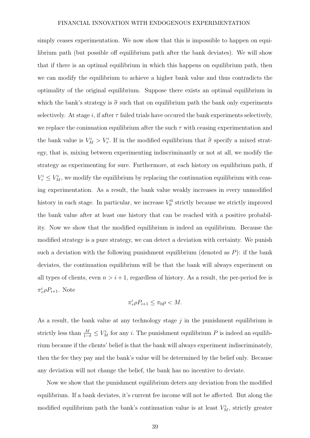simply ceases experimentation. We now show that this is impossible to happen on equilibrium path (but possible off equilibrium path after the bank deviates). We will show that if there is an optimal equilibrium in which this happens on equilibrium path, then we can modify the equilibrium to achieve a higher bank value and thus contradicts the optimality of the original equilibrium. Suppose there exists an optimal equilibrium in which the bank's strategy is  $\hat{\sigma}$  such that on equilibrium path the bank only experiments selectively. At stage i, if after  $\tau$  failed trials have occured the bank experiments selectively, we replace the coninuation equilibrium after the such  $\tau$  with ceasing experimentation and the bank value is  $V_M^i > V_\tau^i$ . If in the modified equilibrium that  $\hat{\sigma}$  specify a mixed strategy, that is, mixing between experimenting indiscriminantly or not at all, we modify the strategy as experimenting for sure. Furthermore, at each history on equilibrium path, if  $V^i_\tau \leq V^i_M$ , we modify the equilibrium by replacing the continuation equilibrium with ceasing experimentation. As a result, the bank value weakly increases in every unmodified history in each stage. In particular, we increase  $V_0^0$  strictly because we strictly improved the bank value after at least one history that can be reached with a positive probability. Now we show that the modified equilibrium is indeed an equilibrium. Because the modified strategy is a pure strategy, we can detect a deviation with certainty. We punish such a deviation with the following punishment equilibrium (denoted as  $P$ ): if the bank deviates, the continuation equilibrium will be that the bank will always experiment on all types of clients, even  $n > i + 1$ , regardless of history. As a result, the per-period fee is  $\pi^i_{\tau} \rho P_{i+1}$ . Note

$$
\pi^i_\tau \rho P_{i+1} \le \pi_0 \rho < M.
$$

As a result, the bank value at any technology stage  $j$  in the punishment equilibrium is strictly less than  $\frac{M}{1-\delta} \leq V_M^i$  for any *i*. The punishment equilibrium P is indeed an equilibrium because if the clients' belief is that the bank will always experiment indiscriminately, then the fee they pay and the bank's value will be determined by the belief only. Because any deviation will not change the belief, the bank has no incentive to deviate.

Now we show that the punishment equilibrium deters any deviation from the modified equilibrium. If a bank deviates, it's current fee income will not be affected. But along the modified equilibrium path the bank's continuation value is at least  $V_M^i$ , strictly greater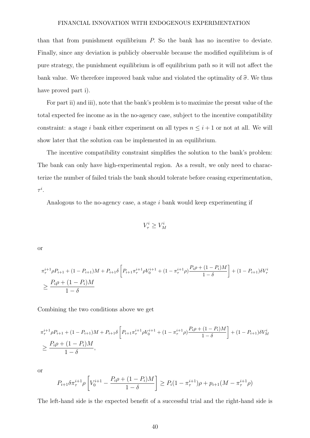than that from punishment equilibrium P. So the bank has no incentive to deviate. Finally, since any deviation is publicly observable because the modified equilibrium is of pure strategy, the punishment equilibrium is off equilibrium path so it will not affect the bank value. We therefore improved bank value and violated the optimality of  $\hat{\sigma}$ . We thus have proved part i).

For part ii) and iii), note that the bank's problem is to maximize the presnt value of the total expected fee income as in the no-agency case, subject to the incentive compatibility constraint: a stage i bank either experiment on all types  $n \leq i+1$  or not at all. We will show later that the solution can be implemented in an equilibrium.

The incentive compatibility constraint simplifies the solution to the bank's problem: The bank can only have high-experimental region. As a result, we only need to characterize the number of failed trials the bank should tolerate before ceasing experimentation,  $\tau^i.$ 

Analogous to the no-agency case, a stage  $i$  bank would keep experimenting if

 $V^i_\tau \geq V^i_M$ 

or

$$
\pi_{\tau}^{i+1} \rho P_{i+1} + (1 - P_{i+1})M + P_{i+1} \delta \left[ P_{i+1} \pi_{\tau}^{i+1} \rho V_0^{i+1} + (1 - \pi_{\tau}^{i+1} \rho) \frac{P_i \rho + (1 - P_i)M}{1 - \delta} \right] + (1 - P_{i+1}) \delta V_{\tau}^i
$$
\n
$$
\geq \frac{P_i \rho + (1 - P_i)M}{1 - \delta}
$$

Combining the two conditions above we get

$$
\pi_{\tau}^{i+1} \rho P_{i+1} + (1 - P_{i+1})M + P_{i+1} \delta \left[ P_{i+1} \pi_{\tau}^{i+1} \rho V_0^{i+1} + (1 - \pi_{\tau}^{i+1} \rho) \frac{P_i \rho + (1 - P_i)M}{1 - \delta} \right] + (1 - P_{i+1}) \delta V_M^i
$$
  

$$
\geq \frac{P_i \rho + (1 - P_i)M}{1 - \delta},
$$

or

$$
P_{i+1}\delta\pi_{\tau}^{i+1}\rho\left[V_0^{i+1}-\frac{P_i\rho+(1-P_i)M}{1-\delta}\right] \ge P_i(1-\pi_{\tau}^{i+1})\rho + p_{i+1}(M-\pi_{\tau}^{i+1}\rho)
$$

The left-hand side is the expected benefit of a successful trial and the right-hand side is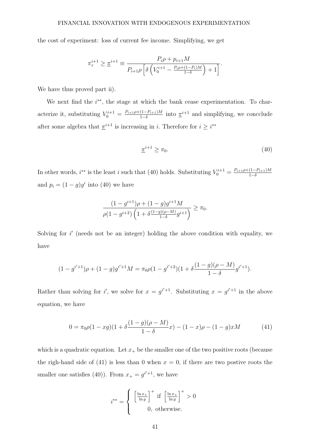the cost of experiment: loss of current fee income. Simplifying, we get

$$
\pi_{\tau}^{i+1} \geq \underline{\pi}^{i+1} \equiv \frac{P_i \rho + p_{i+1} M}{P_{i+1} \rho \left[ \delta \left( V_0^{i+1} - \frac{P_i \rho + (1-P_i) M}{1-\delta} \right) + 1 \right]}.
$$

We have thus proved part ii).

We next find the  $i^{**}$ , the stage at which the bank cease experimentation. To characterize it, substituting  $V_0^{i+1} = \frac{P_{i+1}\rho + (1-P_{i+1})M}{1-\delta}$  $\frac{(1-P_{i+1})M}{1-\delta}$  into  $\pi^{i+1}$  and simplifying, we concclude after some algebra that  $\pi^{i+1}$  is increasing in i. Therefore for  $i \geq i^{**}$ 

$$
\underline{\pi}^{i+1} \ge \pi_0. \tag{40}
$$

In other words,  $i^{**}$  is the least i such that (40) holds. Substituting  $V_0^{i+1} = \frac{P_{i+1}\rho + (1-P_{i+1})M}{1-\delta}$  $1-\delta$ and  $p_i = (1 - g)g^i$  into (40) we have

$$
\frac{(1-g^{i+1})\rho + (1-g)g^{i+1}M}{\rho(1-g^{i+2})\left(1+\delta \frac{(1-g)(\rho-M)}{1-\delta}g^{i+1}\right)} \ge \pi_0.
$$

Solving for  $i'$  (needs not be an integer) holding the above condition with equality, we have

$$
(1 - g^{i'+1})\rho + (1 - g)g^{i'+1}M = \pi_0\rho(1 - g^{i'+2})(1 + \delta\frac{(1 - g)(\rho - M)}{1 - \delta}g^{i'+1}).
$$

Rather than solving for i', we solve for  $x = g^{i'+1}$ . Substituting  $x = g^{i'+1}$  in the above equation, we have

$$
0 = \pi_0 \rho (1 - xg)(1 + \delta \frac{(1 - g)(\rho - M)}{1 - \delta}x) - (1 - x)\rho - (1 - g)xM \tag{41}
$$

which is a quadratic equation. Let  $x_+$  be the smaller one of the two positive roots (because the righ-hand side of (41) is less than 0 when  $x = 0$ , if there are two postive roots the smaller one satisfies (40)). From  $x_+ = g^{i'+1}$ , we have

$$
i^{**} = \begin{cases} \left[\frac{\ln x_{+}}{\ln g}\right]^{+} \text{ if } \left[\frac{\ln x_{+}}{\ln g}\right]^{+} > 0\\ 0, \text{ otherwise.} \end{cases}
$$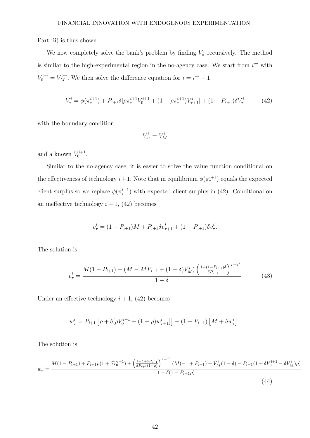Part iii) is thus shown.

We now completely solve the bank's problem by finding  $V_0^i$  recursively. The method is similar to the high-experimental region in the no-agency case. We start from  $i^{**}$  with  $V_0^{i^{**}} = V_M^{i^{**}}$ . We then solve the difference equation for  $i = i^{**} - 1$ ,

$$
V_{\tau}^{i} = \phi(\pi_{\tau}^{i+1}) + P_{i+1}\delta[\rho\pi_{\tau}^{i+1}V_{0}^{i+1} + (1 - \rho\pi_{\tau}^{i+1})V_{\tau+1}^{i}] + (1 - P_{i+1})\delta V_{\tau}^{i}
$$
(42)

with the boundary condition

$$
V^i_{\tau^i}=V^i_M
$$

and a known  $V_0^{i+1}$ .

Similar to the no-agency case, it is easier to solve the value function conditional on the effectiveness of technology  $i+1$ . Note that in equilibrium  $\phi(\pi^{i+1})$  equals the expected client surplus so we replace  $\phi(\pi^{i+1})$  with expected client surplus in (42). Conditional on an ineffective technology  $i + 1$ , (42) becomes

$$
v_{\tau}^{i} = (1 - P_{i+1})M + P_{i+1}\delta v_{\tau+1}^{i} + (1 - P_{i+1})\delta v_{\tau}^{i}.
$$

The solution is

$$
v_{\tau}^{i} = \frac{M(1 - P_{i+1}) - (M - MP_{i+1} + (1 - \delta)V_M^{i}) \left(\frac{1 - (1 - P_{i+1})\delta}{\delta P_{i+1}}\right)^{\tau - \tau^{i}}}{1 - \delta}
$$
(43)

Under an effective technology  $i + 1$ , (42) becomes

$$
w_{\tau}^{i} = P_{i+1} \left[ \rho + \delta [\rho V_0^{i+1} + (1 - \rho) w_{\tau+1}^{i}] \right] + (1 - P_{i+1}) \left[ M + \delta w_{\tau}^{i} \right].
$$

The solution is

$$
w_{\tau}^{i} = \frac{M(1 - P_{i+1}) + P_{i+1}\rho(1 + \delta V_{0}^{i+1}) + \left(\frac{1 - \delta + \delta P_{i+1}}{\delta P_{i+1}(1-\rho)}\right)^{\tau-\tau^{i}}(M(-1 + P_{i+1}) + V_{M}^{i}(1-\delta) - P_{i+1}(1 + \delta V_{0}^{i+1} - \delta V_{M}^{i})\rho)}{1 - \delta(1 - P_{i+1}\rho)}
$$
\n(44)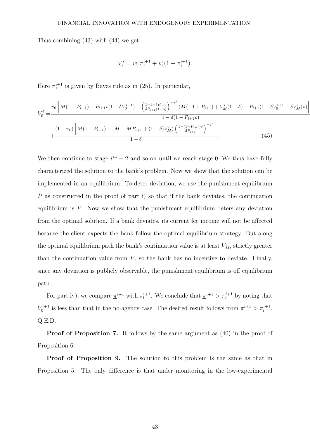Thus combining (43) with (44) we get

$$
V_{\tau}^{i} = w_{\tau}^{i} \pi_{\tau}^{i+1} + v_{\tau}^{i} (1 - \pi_{\tau}^{i+1}).
$$

Here  $\pi^{i+1}_{\tau}$  is given by Bayes rule as in (25). In particular,

$$
V_0^i = \frac{\pi_0 \left[ M(1 - P_{i+1}) + P_{i+1}\rho(1 + \delta V_0^{i+1}) + \left(\frac{1 - \delta + \delta P_{i+1}}{\delta P_{i+1}(1 - \rho)}\right)^{-\tau^i} (M(-1 + P_{i+1}) + V_M^i (1 - \delta) - P_{i+1}(1 + \delta V_0^{i+1} - \delta V_M^i)\rho) \right]}{1 - \delta(1 - P_{i+1}\rho)}
$$
  
+ 
$$
\frac{(1 - \pi_0) \left[ M(1 - P_{i+1}) - (M - M P_{i+1} + (1 - \delta)V_M^i) \left(\frac{1 - (1 - P_{i+1})\delta}{\delta P_{i+1}}\right)^{-\tau^i} \right]}{1 - \delta}.
$$
 (45)

1

We then continue to stage  $i^{**} - 2$  and so on until we reach stage 0. We thus have fully characterized the solution to the bank's problem. Now we show that the solution can be implemented in an equilibrium. To deter deviation, we use the punishment equilibrium P as constructed in the proof of part i) so that if the bank deviates, the continuation equilibrium is P. Now we show that the punishment equilibrium deters any deviation from the optimal solution. If a bank deviates, its current fee income will not be affected because the client expects the bank follow the optimal equilibrium strategy. But along the optimal equilibrium path the bank's continuation value is at least  $V_M^i$ , strictly greater than the continuation value from  $P$ , so the bank has no incentive to deviate. Finally, since any deviation is publicly observable, the punishment equilibrium is off equilibrium path.

For part iv), we compare  $\pi^{i+1}$  with  $\pi^{i+1}_l$  $\frac{i+1}{l}$ . We conclude that  $\underline{\pi}^{i+1} > \pi_l^{i+1}$  by noting that  $V_0^{i+1}$  is less than that in the no-agency case. The desired result follows from  $\underline{\pi}^{i+1} > \pi_l^{i+1}$ . Q.E.D.

Proof of Proposition 7. It follows by the same argument as  $(40)$  in the proof of Proposition 6.

Proof of Proposition 9. The solution to this problem is the same as that in Proposition 5. The only difference is that under monitoring in the low-experimental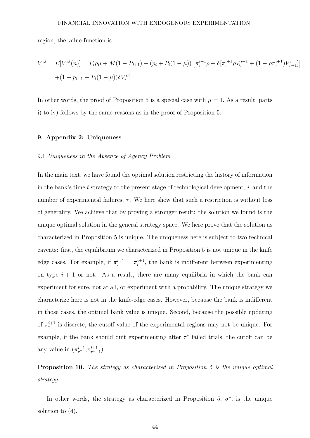region, the value function is

$$
V_{\tau}^{i,l} = E[V_{\tau}^{i,l}(n)] = P_i \rho \mu + M(1 - P_{i+1}) + (p_i + P_i(1 - \mu)) \left[ \pi_{\tau}^{i+1} \rho + \delta[\pi_{\tau}^{i+1} \rho V_0^{i+1} + (1 - \rho \pi_{\tau}^{i+1}) V_{\tau+1}^i] \right]
$$

$$
+ (1 - p_{i+1} - P_i(1 - \mu)) \delta V_{\tau}^{i,l}.
$$

1

In other words, the proof of Proposition 5 is a special case with  $\mu = 1$ . As a result, parts i) to iv) follows by the same reasons as in the proof of Proposition 5.

#### 9. Appendix 2: Uniqueness

# 9.1 Uniqueness in the Absence of Agency Problem

In the main text, we have found the optimal solution restricting the history of information in the bank's time  $t$  strategy to the present stage of technological development,  $i$ , and the number of experimental failures,  $\tau$ . We here show that such a restriction is without loss of generality. We achieve that by proving a stronger result: the solution we found is the unique optimal solution in the general strategy space. We here prove that the solution as characterized in Proposition 5 is unique. The uniqueness here is subject to two technical caveats: first, the equilibrium we characterized in Proposition 5 is not unique in the knife edge cases. For example, if  $\pi^{i+1}_{\tau} = \pi^{i+1}_{l}$  $\ell_l^{i+1}$ , the bank is indifferent between experimenting on type  $i + 1$  or not. As a result, there are many equilibria in which the bank can experiment for sure, not at all, or experiment with a probability. The unique strategy we characterize here is not in the knife-edge cases. However, because the bank is indifferent in those cases, the optimal bank value is unique. Second, because the possible updating of  $\pi^{i+1}_{\tau}$  is discrete, the cutoff value of the experimental regions may not be unique. For example, if the bank should quit experimenting after  $\tau^*$  failed trials, the cutoff can be any value in  $(\pi^{i+1}_{\tau^*}, \pi^{i+1}_{\tau^*-1}).$ 

Proposition 10. The strategy as characterized in Proposition 5 is the unique optimal strategy.

In other words, the strategy as characterized in Proposition 5,  $\sigma^*$ , is the unique solution to  $(4)$ .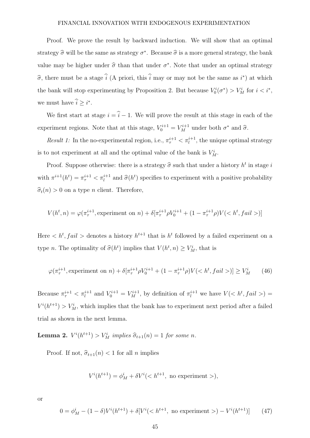Proof. We prove the result by backward induction. We will show that an optimal strategy  $\hat{\sigma}$  will be the same as strategy  $\sigma^*$ . Because  $\hat{\sigma}$  is a more general strategy, the bank value may be higher under  $\hat{\sigma}$  than that under  $\sigma^*$ . Note that under an optimal strategy  $\hat{\sigma}$ , there must be a stage  $\hat{i}$  (A priori, this  $\hat{i}$  may or may not be the same as  $i^*$ ) at which the bank will stop experimenting by Proposition 2. But because  $V_0^i(\sigma^*) > V_M^i$  for  $i < i^*$ , we must have  $\hat{i} \geq i^*$ .

We first start at stage  $i = \hat{i} - 1$ . We will prove the result at this stage in each of the experiment regions. Note that at this stage,  $V_0^{i+1} = V_M^{i+1}$  under both  $\sigma^*$  and  $\hat{\sigma}$ .

Result 1: In the no-experimental region, i.e.,  $\pi^{i+1}_{\tau} < \pi^{i+1}_{l}$ , the unique optimal strategy is to not experiment at all and the optimal value of the bank is  $V_M^i$ .

Proof. Suppose otherwise: there is a strategy  $\hat{\sigma}$  such that under a history  $h^t$  in stage i with  $\pi^{i+1}(h^t) = \pi^{i+1}_{\tau} < \pi^{i+1}_{l}$  and  $\hat{\sigma}(h^t)$  specifies to experiment with a positive probability  $\hat{\sigma}_t(n) > 0$  on a type *n* client. Therefore,

$$
V(h^t, n) = \varphi(\pi_\tau^{i+1}, \text{experiment on } n) + \delta[\pi_\tau^{i+1} \rho V_0^{i+1} + (1 - \pi_\tau^{i+1} \rho)V()]
$$

Here  $\langle h^t, fail \rangle$  denotes a history  $h^{t+1}$  that is  $h^t$  followed by a failed experiment on a type *n*. The optimality of  $\widehat{\sigma}(h^t)$  implies that  $V(h^t, n) \ge V_M^i$ , that is

$$
\varphi(\pi_{\tau}^{i+1}, \text{experiment on } n) + \delta[\pi_{\tau}^{i+1} \rho V_0^{i+1} + (1 - \pi_{\tau}^{i+1} \rho) V()] \ge V_M^i \tag{46}
$$

Because  $\pi^{i+1}_{\tau} < \pi^{i+1}_{l}$  and  $V^{i+1}_{0} = V^{i+1}_{M}$ , by definition of  $\pi^{i+1}_{l}$  we have  $V(< h^{t}, fail>)$  $V^{i}(h^{t+1}) > V_M^i$ , which implies that the bank has to experiment next period after a failed trial as shown in the next lemma.

**Lemma 2.**  $V^{i}(h^{t+1}) > V_M^{i}$  implies  $\hat{\sigma}_{t+1}(n) = 1$  for some n.

Proof. If not,  $\hat{\sigma}_{t+1}(n) < 1$  for all n implies

$$
V^{i}(h^{t+1}) = \phi_M^i + \delta V^i \quad \text{not experiment} \quad ),
$$

or

$$
0 = \phi_M^i - (1 - \delta)V^i(h^{t+1}) + \delta[V^i() - V^i(h^{t+1})]
$$
(47)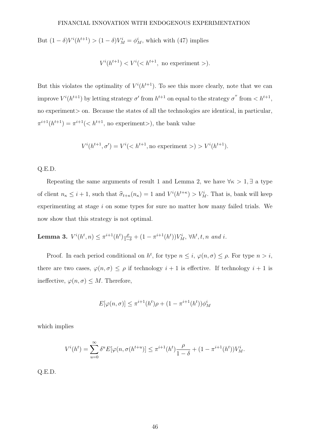But  $(1 - \delta)V^{i}(h^{t+1}) > (1 - \delta)V^{i}_{M} = \phi^{i}_{M}$ , which with (47) implies

$$
V^{i}(h^{t+1}) < V^{i}(< h^{t+1}, \text{ no experiment } >).
$$

But this violates the optimality of  $V^{i}(h^{t+1})$ . To see this more clearly, note that we can improve  $V^{i}(h^{t+1})$  by letting strategy  $\sigma'$  from  $h^{t+1}$  on equal to the strategy  $\sigma''$  from  $\langle h^{t+1}, h^{t+1} \rangle$ no experiment is on. Because the states of all the technologies are identical, in particular,  $\pi^{i+1}(h^{t+1}) = \pi^{i+1}(< h^{t+1}, \text{ no experiment}$ ), the bank value

$$
V^{i}(h^{t+1}, \sigma') = V^{i}(< h^{t+1}, \text{no experiment }>) > V^{i}(h^{t+1}).
$$

#### Q.E.D.

Repeating the same arguments of result 1 and Lemma 2, we have  $\forall \kappa > 1, \exists$  a type of client  $n_{\kappa} \leq i+1$ , such that  $\hat{\sigma}_{t+\kappa}(n_{\kappa}) = 1$  and  $V^{i}(h^{t+\kappa}) > V_M^{i}$ . That is, bank will keep experimenting at stage i on some types for sure no matter how many failed trials. We now show that this strategy is not optimal.

**Lemma 3.**  $V^{i}(h^{t}, n) \leq \pi^{i+1}(h^{t}) \frac{\rho}{1-\delta} + (1 - \pi^{i+1}(h^{t})) V_M^{i}, \forall h^{t}, t, n \text{ and } i.$ 

Proof. In each period conditional on  $h^t$ , for type  $n \leq i$ ,  $\varphi(n, \sigma) \leq \rho$ . For type  $n > i$ , there are two cases,  $\varphi(n,\sigma) \leq \rho$  if technology  $i+1$  is effective. If technology  $i+1$  is ineffective,  $\varphi(n,\sigma) \leq M$ . Therefore,

$$
E[\varphi(n,\sigma)] \le \pi^{i+1}(h^t)\rho + (1 - \pi^{i+1}(h^t))\phi_M^i
$$

which implies

$$
V^{i}(h^{t}) = \sum_{u=0}^{\infty} \delta^{u} E[\varphi(n, \sigma(h^{t+u})] \leq \pi^{i+1}(h^{t}) \frac{\rho}{1-\delta} + (1 - \pi^{i+1}(h^{t})) V_{M}^{i}.
$$

Q.E.D.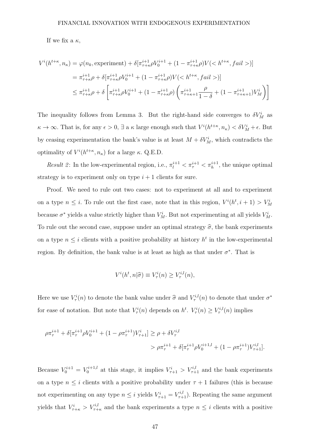If we fix a  $\kappa$ ,

$$
V^{i}(h^{t+\kappa}, n_{\kappa}) = \varphi(n_{k}, \text{experiment}) + \delta[\pi_{\tau+\kappa}^{i+1} \rho V_{0}^{i+1} + (1 - \pi_{\tau+\kappa}^{i+1} \rho)V()]
$$
  
\n
$$
= \pi_{\tau+\kappa}^{i+1} \rho + \delta[\pi_{\tau+\kappa}^{i+1} \rho V_{0}^{i+1} + (1 - \pi_{\tau+\kappa}^{i+1} \rho)V()]
$$
  
\n
$$
\leq \pi_{\tau+\kappa}^{i+1} \rho + \delta\left[\pi_{\tau+\kappa}^{i+1} \rho V_{0}^{i+1} + (1 - \pi_{\tau+\kappa}^{i+1} \rho)\left(\pi_{\tau+\kappa+1}^{i+1} \frac{\rho}{1-\delta} + (1 - \pi_{\tau+\kappa+1}^{i+1})V_{M}^{i}\right)\right]
$$

The inequality follows from Lemma 3. But the right-hand side converges to  $\delta V_M^i$  as  $\kappa \to \infty$ . That is, for any  $\epsilon > 0$ ,  $\exists$  a  $\kappa$  large enough such that  $V^{i}(h^{t+\kappa}, n_{\kappa}) < \delta V_M^i + \epsilon$ . But by ceasing experimentation the bank's value is at least  $M + \delta V_M^i$ , which contradicts the optimality of  $V^{i}(h^{t+\kappa}, n_{\kappa})$  for a large  $\kappa$ . Q.E.D.

*Result 2*: In the low-experimental region, i.e.,  $\pi_l^{i+1} < \pi_\tau^{i+1} < \pi_h^{i+1}$ , the unique optimal strategy is to experiment only on type  $i+1$  clients for sure.

Proof. We need to rule out two cases: not to experiment at all and to experiment on a type  $n \leq i$ . To rule out the first case, note that in this region,  $V^{i}(h^{t}, i + 1) > V^{i}_{M}$ because  $\sigma^*$  yields a value strictly higher than  $V_M^i$ . But not experimenting at all yields  $V_M^i$ . To rule out the second case, suppose under an optimal strategy  $\hat{\sigma}$ , the bank experiments on a type  $n \leq i$  clients with a positive probability at history  $h^t$  in the low-experimental region. By definition, the bank value is at least as high as that under  $\sigma^*$ . That is

$$
V^{i}(h^{t}, n|\hat{\sigma}) \equiv V^{i}_{\tau}(n) \geq V^{i,l}_{\tau}(n),
$$

Here we use  $V^i_\tau(n)$  to denote the bank value under  $\hat{\sigma}$  and  $V^{i,l}_\tau(n)$  to denote that under  $\sigma^*$ for ease of notation. But note that  $V^i_\tau(n)$  depends on  $h^t$ .  $V^i_\tau(n) \geq V^{i,l}_\tau(n)$  implies

$$
\begin{aligned} \rho \pi_\tau^{i+1} + \delta[\pi_\tau^{i+1} \rho V_0^{i+1} + (1-\rho \pi_\tau^{i+1}) V_{\tau+1}^i] &\ge \rho + \delta V_\tau^{i,l} \\ &> \rho \pi_\tau^{i+1} + \delta[\pi_\tau^{i+1} \rho V_0^{i+1,l} + (1-\rho \pi_\tau^{i+1}) V_{\tau+1}^{i,l}]. \end{aligned}
$$

Because  $V_0^{i+1} = V_0^{i+1,l}$  $V^{i+1,l}_{0}$  at this stage, it implies  $V^{i}_{\tau+1} > V^{i,l}_{\tau+1}$  and the bank experiments on a type  $n \leq i$  clients with a positive probability under  $\tau + 1$  failures (this is because not experimenting on any type  $n \leq i$  yields  $V_{\tau+1}^i = V_{\tau+1}^{i,l}$ ). Repeating the same argument yields that  $V_{\tau+\kappa}^i > V_{\tau+\kappa}^{i,l}$  and the bank experiments a type  $n \leq i$  clients with a positive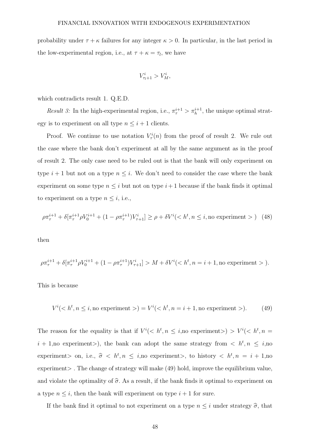probability under  $\tau + \kappa$  failures for any integer  $\kappa > 0$ . In particular, in the last period in the low-experimental region, i.e., at  $\tau + \kappa = \tau_l$ , we have

$$
V_{\tau_l+1}^i > V_M^i,
$$

which contradicts result 1. Q.E.D.

*Result 3:* In the high-experimental region, i.e.,  $\pi^{i+1}_{\tau} > \pi^{i+1}_{h}$ , the unique optimal strategy is to experiment on all type  $n \leq i+1$  clients.

Proof. We continue to use notation  $V^i_\tau(n)$  from the proof of result 2. We rule out the case where the bank don't experiment at all by the same argument as in the proof of result 2. The only case need to be ruled out is that the bank will only experiment on type  $i + 1$  but not on a type  $n \leq i$ . We don't need to consider the case where the bank experiment on some type  $n \leq i$  but not on type  $i+1$  because if the bank finds it optimal to experiment on a type  $n \leq i$ , i.e.,

$$
\rho \pi_{\tau}^{i+1} + \delta[\pi_{\tau}^{i+1} \rho V_0^{i+1} + (1 - \rho \pi_{\tau}^{i+1}) V_{\tau+1}^i] \ge \rho + \delta V^i \quad (k, n \le i, \text{no experiment} > ) \tag{48}
$$

then

$$
\rho\pi_\tau^{i+1}+\delta[\pi_\tau^{i+1}\rho V_0^{i+1}+(1-\rho\pi_\tau^{i+1})V_{\tau+1}^i]>M+\delta V^i() .
$$

This is because

$$
V^{i}(
$$

The reason for the equality is that if  $V^i(< h^t, n \leq i$ , no experiment $> V^i(< h^t, n =$  $i + 1$ , no experiment >), the bank can adopt the same strategy from  $\langle h^t, n \leq i$ , no experiment> on, i.e.,  $\hat{\sigma} \langle h^t, n \rangle \leq i$ , no experiment>, to history  $\langle h^t, n \rangle = i + 1$ , no experiment > . The change of strategy will make (49) hold, improve the equilibrium value, and violate the optimality of  $\hat{\sigma}$ . As a result, if the bank finds it optimal to experiment on a type  $n \leq i$ , then the bank will experiment on type  $i + 1$  for sure.

If the bank find it optimal to not experiment on a type  $n \leq i$  under strategy  $\hat{\sigma}$ , that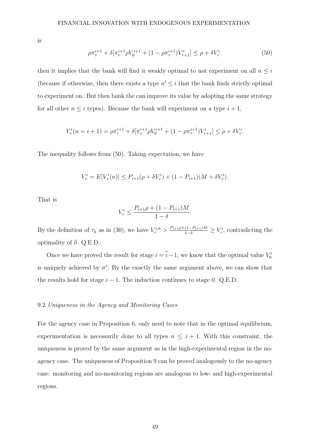is

$$
\rho \pi_{\tau}^{i+1} + \delta[\pi_{\tau}^{i+1} \rho V_0^{i+1} + (1 - \rho \pi_{\tau}^{i+1}) V_{\tau+1}^i] \le \rho + \delta V_{\tau}^i. \tag{50}
$$

then it implies that the bank will find it weakly optimal to not experiment on all  $n \leq i$ (because if otherwise, then there exists a type  $n' \leq i$  that the bank finds strictly optimal to experiment on. But then bank the can improve its value by adopting the same strategy for all other  $n \leq i$  types). Because the bank will experiment on a type  $i + 1$ ,

$$
V^i_\tau(n=i+1)=\rho\pi_\tau^{i+1}+\delta[\pi_\tau^{i+1}\rho V^{i+1}_0+(1-\rho\pi_\tau^{i+1})V^i_{\tau+1}]\leq \rho+\delta V^i_\tau.
$$

The inequality follows from (50). Taking expectation, we have

$$
V_{\tau}^{i} = E[V_{\tau}^{i}(n)] \le P_{i+1}(\rho + \delta V_{\tau}^{i}) + (1 - P_{i+1})(M + \delta V_{\tau}^{i}).
$$

That is

$$
V_{\tau}^{i} \le \frac{P_{i+1}\rho + (1 - P_{i+1})M}{1 - \delta}.
$$

By the definition of  $\tau_h$  as in (30), we have  $V^{i,h}_{\tau} > \frac{P_{i+1}\rho + (1-P_{i+1})M}{1-\delta} \geq V^i_{\tau}$ , contradicting the optimality of  $\hat{\sigma}$ . Q.E.D..

Once we have proved the result for stage  $i = \hat{i} - 1$ , we know that the optimal value  $V_0^i$ is uniquely achieved by  $\sigma^*$ . By the exactly the same argument above, we can show that the results hold for stage  $i - 1$ . The induction continues to stage 0. Q.E.D.

## 9.2 Uniqueness in the Agency and Monitoring Cases

For the agency case in Proposition 6, only need to note that in the optimal equilibrium, experimentation is necessarily done to all types  $n \leq i + 1$ . With this constraint, the uniqueness is proved by the same argument as in the high-experimental region in the noagency case. The uniqueness of Proposition 9 can be proved analogously to the no-agency case: monitoring and no-monitoring regions are analogous to low- and high-experimental regions.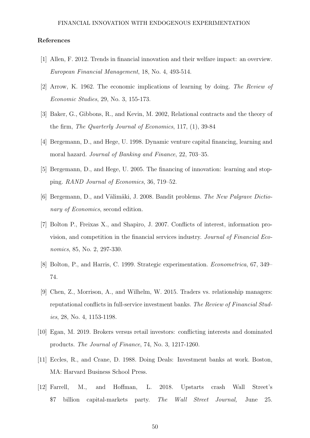#### References

- [1] Allen, F. 2012. Trends in financial innovation and their welfare impact: an overview. European Financial Management, 18, No. 4, 493-514.
- [2] Arrow, K. 1962. The economic implications of learning by doing. The Review of Economic Studies, 29, No. 3, 155-173.
- [3] Baker, G., Gibbons, R., and Kevin, M. 2002, Relational contracts and the theory of the firm, The Quarterly Journal of Economics, 117, (1), 39-84
- [4] Bergemann, D., and Hege, U. 1998. Dynamic venture capital financing, learning and moral hazard. Journal of Banking and Finance, 22, 703–35.
- [5] Bergemann, D., and Hege, U. 2005. The financing of innovation: learning and stopping. RAND Journal of Economics, 36, 719–52.
- [6] Bergemann, D., and Välimäki, J. 2008. Bandit problems. The New Palgrave Dictionary of *Economics*, second edition.
- [7] Bolton P., Freixas X., and Shapiro, J. 2007. Conflicts of interest, information provision, and competition in the financial services industry. Journal of Financial Economics, 85, No. 2, 297-330.
- [8] Bolton, P., and Harris, C. 1999. Strategic experimentation. Econometrica, 67, 349– 74.
- [9] Chen, Z., Morrison, A., and Wilhelm, W. 2015. Traders vs. relationship managers: reputational conflicts in full-service investment banks. The Review of Financial Studies, 28, No. 4, 1153-1198.
- [10] Egan, M. 2019. Brokers versus retail investors: conflicting interests and dominated products. The Journal of Finance, 74, No. 3, 1217-1260.
- [11] Eccles, R., and Crane, D. 1988. Doing Deals: Investment banks at work. Boston, MA: Harvard Business School Press.
- [12] Farrell, M., and Hoffman, L. 2018. Upstarts crash Wall Street's \$7 billion capital-markets party. The Wall Street Journal, June 25.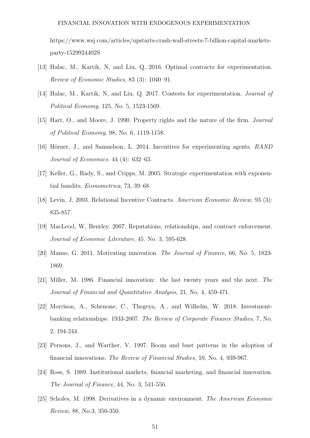https://www.wsj.com/articles/upstarts-crash-wall-streets-7-billion-capital-marketsparty-1529924402S

- [13] Halac, M., Kartik, N, and Liu, Q. 2016. Optimal contracts for experimentation. Review of Economic Studies, 83 (3): 1040–91.
- [14] Halac, M., Kartik, N, and Liu, Q. 2017. Contests for experimentation. Journal of Political Economy, 125, No. 5, 1523-1569.
- [15] Hart, O., and Moore, J. 1990. Property rights and the nature of the firm. Journal of Political Economy, 98, No. 6, 1119-1158.
- [16] Hörner, J., and Samuelson, L. 2014. Incentives for experimenting agents. RAND Journal of Economics. 44 (4): 632–63.
- [17] Keller, G., Rady, S., and Cripps, M. 2005. Strategic experimentation with exponential bandits. Econometrica, 73, 39–68.
- [18] Levin, J. 2003. Relational Incentive Contracts. American Economic Review, 93 (3): 835-857.
- [19] MacLeod, W, Bentley. 2007. Reputations, relationships, and contract enforcement. Journal of Economic Literature, 45. No. 3, 595-628.
- [20] Manso, G. 2011. Motivating innovation. The Journal of Finance, 66, No. 5, 1823- 1869.
- [21] Miller, M. 1986. Financial innovation: the last twenty years and the next. The Journal of Financial and Quantitative Analysis, 21, No. 4, 459-471.
- [22] Morrison, A., Schenone, C., Thegeya, A., and Wilhelm, W. 2018. Investmentbanking relationships: 1933-2007. The Review of Corporate Finance Studies, 7, No. 2, 194-244.
- [23] Persons, J., and Warther, V. 1997. Boom and bust patterns in the adoption of financial innovations. The Review of Financial Studies, 10, No. 4, 939-967.
- [24] Ross, S. 1989. Institutional markets, financial marketing, and financial innovation. The Journal of Finance, 44, No. 3, 541-556.
- [25] Scholes, M. 1998. Derivatives in a dynamic environment. The American Economic Review, 88, No.3, 350-350.